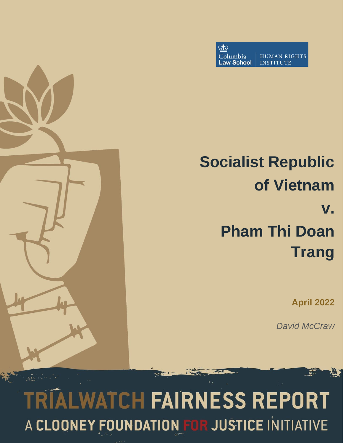

# **Socialist Republic of Vietnam v. Pham Thi Doan Trang**

**April 2022**

*David McCraw*

# **TRÍALWATCH FAIRNESS REPORT** A CLOONEY FOUNDATION FOR JUSTICE INITIATIVE

讀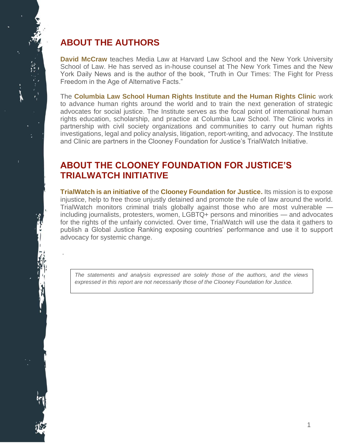# **ABOUT THE AUTHORS**

.

**David McCraw** teaches Media Law at Harvard Law School and the New York University School of Law. He has served as in-house counsel at The New York Times and the New York Daily News and is the author of the book, "Truth in Our Times: The Fight for Press Freedom in the Age of Alternative Facts."

The **Columbia Law School Human Rights Institute and the Human Rights Clinic** work to advance human rights around the world and to train the next generation of strategic advocates for social justice. The Institute serves as the focal point of international human rights education, scholarship, and practice at Columbia Law School. The Clinic works in partnership with civil society organizations and communities to carry out human rights investigations, legal and policy analysis, litigation, report-writing, and advocacy. The Institute and Clinic are partners in the Clooney Foundation for Justice's TrialWatch Initiative.

# **ABOUT THE CLOONEY FOUNDATION FOR JUSTICE'S TRIALWATCH INITIATIVE**

**TrialWatch is an initiative of** the **Clooney Foundation for Justice.** Its mission is to expose injustice, help to free those unjustly detained and promote the rule of law around the world. TrialWatch monitors criminal trials globally against those who are most vulnerable including journalists, protesters, women, LGBTQ+ persons and minorities — and advocates for the rights of the unfairly convicted. Over time, TrialWatch will use the data it gathers to publish a Global Justice Ranking exposing countries' performance and use it to support advocacy for systemic change.

*The statements and analysis expressed are solely those of the authors, and the views expressed in this report are not necessarily those of the Clooney Foundation for Justice.*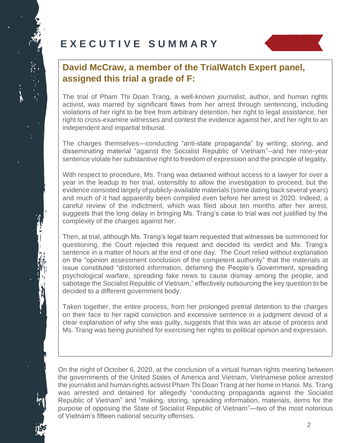# **E X E C U T I V E S U M M A R Y**



# **David McCraw, a member of the TrialWatch Expert panel, assigned this trial a grade of F:**

The trial of Pham Thi Doan Trang, a well-known journalist, author, and human rights activist, was marred by significant flaws from her arrest through sentencing, including violations of her right to be free from arbitrary detention, her right to legal assistance, her right to cross-examine witnesses and contest the evidence against her, and her right to an independent and impartial tribunal.

The charges themselves—conducting "anti-state propaganda" by writing, storing, and disseminating material "against the Socialist Republic of Vietnam"--and her nine-year sentence violate her substantive right to freedom of expression and the principle of legality.

With respect to procedure, Ms. Trang was detained without access to a lawyer for over a year in the leadup to her trial, ostensibly to allow the investigation to proceed, but the evidence consisted largely of publicly-available materials (some dating back several years) and much of it had apparently been compiled even before her arrest in 2020. Indeed, a careful review of the indictment, which was filed about ten months after her arrest, suggests that the long delay in bringing Ms. Trang's case to trial was not justified by the complexity of the charges against her.

Then, at trial, although Ms. Trang's legal team requested that witnesses be summoned for questioning, the Court rejected this request and decided its verdict and Ms. Trang's sentence in a matter of hours at the end of one day. The Court relied without explanation on the "opinion assessment conclusion of the competent authority" that the materials at issue constituted "distorted information, defaming the People's Government, spreading psychological warfare, spreading fake news to cause dismay among the people, and sabotage the Socialist Republic of Vietnam," effectively outsourcing the key question to be decided to a different government body.

Taken together, the entire process, from her prolonged pretrial detention to the charges on their face to her rapid conviction and excessive sentence in a judgment devoid of a clear explanation of why she was guilty, suggests that this was an abuse of process and Ms. Trang was being punished for exercising her rights to political opinion and expression.

On the night of October 6, 2020, at the conclusion of a virtual human rights meeting between the governments of the United States of America and Vietnam, Vietnamese police arrested the journalist and human rights activist Pham Thi Doan Trang at her home in Hanoi. Ms. Trang was arrested and detained for allegedly "conducting propaganda against the Socialist Republic of Vietnam" and "making, storing, spreading information, materials, items for the purpose of opposing the State of Socialist Republic of Vietnam"—two of the most notorious of Vietnam's fifteen national security offenses.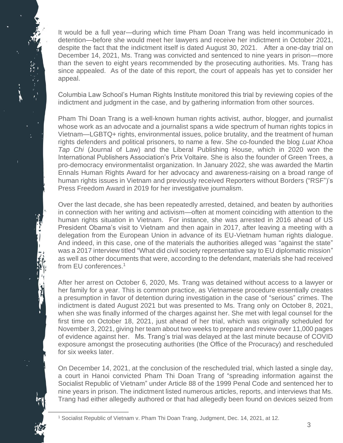It would be a full year—during which time Pham Doan Trang was held incommunicado in detention—before she would meet her lawyers and receive her indictment in October 2021, despite the fact that the indictment itself is dated August 30, 2021. After a one-day trial on December 14, 2021, Ms. Trang was convicted and sentenced to nine years in prison—more than the seven to eight years recommended by the prosecuting authorities. Ms. Trang has since appealed. As of the date of this report, the court of appeals has yet to consider her appeal.

Columbia Law School's Human Rights Institute monitored this trial by reviewing copies of the indictment and judgment in the case, and by gathering information from other sources.

Pham Thi Doan Trang is a well-known human rights activist, author, blogger, and journalist whose work as an advocate and a journalist spans a wide spectrum of human rights topics in Vietnam—LGBTQ+ rights, environmental issues, police brutality, and the treatment of human rights defenders and political prisoners, to name a few. She co-founded the blog *Luat Khoa Tap Chi* (Journal of Law) and the Liberal Publishing House, which in 2020 won the International Publishers Association's Prix Voltaire. She is also the founder of Green Trees, a pro-democracy environmentalist organization. In January 2022, she was awarded the Martin Ennals Human Rights Award for her advocacy and awareness-raising on a broad range of human rights issues in Vietnam and previously received Reporters without Borders ("RSF")'s Press Freedom Award in 2019 for her investigative journalism.

Over the last decade, she has been repeatedly arrested, detained, and beaten by authorities in connection with her writing and activism—often at moment coinciding with attention to the human rights situation in Vietnam. For instance, she was arrested in 2016 ahead of US President Obama's visit to Vietnam and then again in 2017, after leaving a meeting with a delegation from the European Union in advance of its EU-Vietnam human rights dialogue. And indeed, in this case, one of the materials the authorities alleged was "against the state" was a 2017 interview titled "What did civil society representative say to EU diplomatic mission" as well as other documents that were, according to the defendant, materials she had received from EU conferences.<sup>1</sup>

After her arrest on October 6, 2020, Ms. Trang was detained without access to a lawyer or her family for a year. This is common practice, as Vietnamese procedure essentially creates a presumption in favor of detention during investigation in the case of "serious" crimes. The indictment is dated August 2021 but was presented to Ms. Trang only on October 8, 2021, when she was finally informed of the charges against her. She met with legal counsel for the first time on October 18, 2021, just ahead of her trial, which was originally scheduled for November 3, 2021, giving her team about two weeks to prepare and review over 11,000 pages of evidence against her. Ms. Trang's trial was delayed at the last minute because of COVID exposure amongst the prosecuting authorities (the Office of the Procuracy) and rescheduled for six weeks later.

On December 14, 2021, at the conclusion of the rescheduled trial, which lasted a single day, a court in Hanoi convicted Pham Thi Doan Trang of "spreading information against the Socialist Republic of Vietnam" under Article 88 of the 1999 Penal Code and sentenced her to nine years in prison. The indictment listed numerous articles, reports, and interviews that Ms. Trang had either allegedly authored or that had allegedly been found on devices seized from

<sup>1</sup> Socialist Republic of Vietnam v. Pham Thi Doan Trang, Judgment, Dec. 14, 2021, at 12.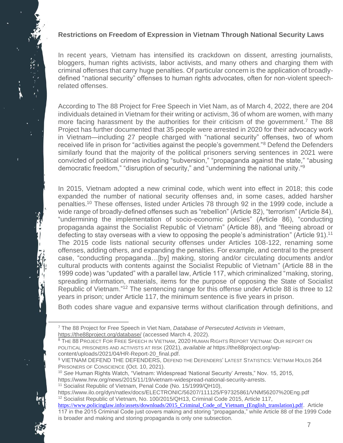#### **Restrictions on Freedom of Expression in Vietnam Through National Security Laws**

In recent years, Vietnam has intensified its crackdown on dissent, arresting journalists, bloggers, human rights activists, labor activists, and many others and charging them with criminal offenses that carry huge penalties. Of particular concern is the application of broadlydefined "national security" offenses to human rights advocates, often for non-violent speechrelated offenses.

According to The 88 Project for Free Speech in Viet Nam, as of March 4, 2022, there are 204 individuals detained in Vietnam for their writing or activism, 36 of whom are women, with many more facing harassment by the authorities for their criticism of the government.<sup>7</sup> The 88 Project has further documented that 35 people were arrested in 2020 for their advocacy work in Vietnam—including 27 people charged with "national security" offenses, two of whom received life in prison for "activities against the people's government."<sup>8</sup> Defend the Defenders similarly found that the majority of the political prisoners serving sentences in 2021 were convicted of political crimes including "subversion," "propaganda against the state," "abusing democratic freedom," "disruption of security," and "undermining the national unity."<sup>9</sup>

In 2015, Vietnam adopted a new criminal code, which went into effect in 2018; this code expanded the number of national security offenses and, in some cases, added harsher penalties.<sup>10</sup> These offenses, listed under Articles 78 through 92 in the 1999 code, include a wide range of broadly-defined offenses such as "rebellion" (Article 82), "terrorism" (Article 84), "undermining the implementation of socio-economic policies" (Article 86), "conducting propaganda against the Socialist Republic of Vietnam" (Article 88), and "fleeing abroad or defecting to stay overseas with a view to opposing the people's administration" (Article 91).<sup>11</sup> The 2015 code lists national security offenses under Articles 108-122, renaming some offenses, adding others, and expanding the penalties. For example, and central to the present case, "conducting propaganda…[by] making, storing and/or circulating documents and/or cultural products with contents against the Socialist Republic of Vietnam" (Article 88 in the 1999 code) was "updated" with a parallel law, Article 117, which criminalized "making, storing, spreading information, materials, items for the purpose of opposing the State of Socialist Republic of Vietnam."<sup>12</sup> The sentencing range for this offense under Article 88 is three to 12 years in prison; under Article 117, the minimum sentence is five years in prison.

Both codes share vague and expansive terms without clarification through definitions, and

<sup>7</sup> The 88 Project for Free Speech in Viet Nam, *Database of Persecuted Activists in Vietnam*, <https://the88project.org/database/> (accessed March 4, 2022).

<sup>8</sup> THE 88 PROJECT FOR FREE SPEECH IN VIETNAM, 2020 HUMAN RIGHTS REPORT VIETNAM: OUR REPORT ON POLITICAL PRISONERS AND ACTIVISTS AT RISK (2021), *available at* https://the88project.org/wpcontent/uploads/2021/04/HR-Report-20\_final.pdf.

<sup>9</sup> VIETNAM DEFEND THE DEFENDERS, DEFEND THE DEFENDERS' LATEST STATISTICS: VIETNAM HOLDS 264 PRISONERS OF CONSCIENCE (Oct. 10, 2021).

<sup>10</sup> *See* Human Rights Watch, "Vietnam: Widespread 'National Security' Arrests," Nov. 15, 2015,

https://www.hrw.org/news/2015/11/19/vietnam-widespread-national-security-arrests.

<sup>&</sup>lt;sup>11</sup> Socialist Republic of Vietnam, Penal Code (No. 15/1999/QH10),

https://www.ilo.org/dyn/natlex/docs/ELECTRONIC/56207/111125/F97325861/VNM56207%20Eng.pdf <sup>12</sup> Socialist Republic of Vietnam, No. 100/2015/QH13, Criminal Code 2015, Article 117,

[https://www.policinglaw.info/assets/downloads/2015\\_Criminal\\_Code\\_of\\_Vietnam\\_\(English\\_translation\).pdf](https://www.policinglaw.info/assets/downloads/2015_Criminal_Code_of_Vietnam_(English_translation).pdf). Article 117 in the 2015 Criminal Code just covers making and storing "propaganda," while Article 88 of the 1999 Code is broader and making and storing propaganda is only one subsection.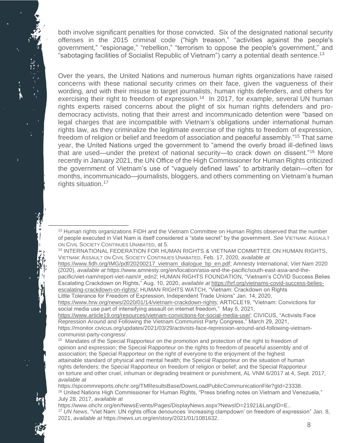both involve significant penalties for those convicted. Six of the designated national security offenses in the 2015 criminal code ("high treason," "activities against the people's government," "espionage," "rebellion," "terrorism to oppose the people's government," and "sabotaging facilities of Socialist Republic of Vietnam") carry a potential death sentence.<sup>13</sup>

Over the years, the United Nations and numerous human rights organizations have raised concerns with these national security crimes on their face, given the vagueness of their wording, and with their misuse to target journalists, human rights defenders, and others for exercising their right to freedom of expression.<sup>14</sup> In 2017, for example, several UN human rights experts raised concerns about the plight of six human rights defenders and prodemocracy activists, noting that their arrest and incommunicado detention were "based on legal charges that are incompatible with Vietnam's obligations under international human rights law, as they criminalize the legitimate exercise of the rights to freedom of expression, freedom of religion or belief and freedom of association and peaceful assembly."<sup>15</sup> That same year, the United Nations urged the government to "amend the overly broad ill-defined laws that are used—under the pretext of national security—to crack down on dissent."<sup>16</sup> More recently in January 2021, the UN Office of the High Commissioner for Human Rights criticized the government of Vietnam's use of "vaguely defined laws" to arbitrarily detain—often for months, incommunicado—journalists, bloggers, and others commenting on Vietnam's human rights situation.<sup>17</sup>

<sup>14</sup> INTERNATIONAL FEDERATION FOR HUMAN RIGHTS & VIETNAM COMMITTEE ON HUMAN RIGHTS, VIETNAM: ASSAULT ON CIVIL SOCIETY CONTINUES UNABATED, Feb. 17, 2020, *available at*

[https://www.fidh.org/IMG/pdf/20200217\\_vietnam\\_dialogue\\_bp\\_en.pdf;](https://www.fidh.org/IMG/pdf/20200217_vietnam_dialogue_bp_en.pdf) Amnesty International, *Viet Nam* 2020 (2020), *available at* https://www.amnesty.org/en/location/asia-and-the-pacific/south-east-asia-and-thepacific/viet-nam/report-viet-nam/#\_edn2; HUMAN RIGHTS FOUNDATION, "Vietnam's COVID Success Belies Escalating Crackdown on Rights," Aug. 10, 2020, *available at* [https://hrf.org/vietnams-covid-success-belies](https://hrf.org/vietnams-covid-success-belies-escalating-crackdown-on-rights/)[escalating-crackdown-on-rights/;](https://hrf.org/vietnams-covid-success-belies-escalating-crackdown-on-rights/) HUMAN RIGHTS WATCH, "Vietnam: Crackdown on Rights Little Tolerance for Freedom of Expression, Independent Trade Unions" Jan. 14, 2020, [https://www.hrw.org/news/2020/01/14/vietnam-crackdown-rights;](https://www.hrw.org/news/2020/01/14/vietnam-crackdown-rights) ARTICLE19, "Vietnam: Convictions for

social media use part of intensifying assault on internet freedom," May 5, 2021, [https://www.article19.org/resources/vietnam-convictions-for-social-media-use/;](https://www.article19.org/resources/vietnam-convictions-for-social-media-use/) CIVICUS, "Activists Face Repression Around and Following the Vietnam Communist Party Congress," March 29, 2021, https://monitor.civicus.org/updates/2021/03/29/activists-face-repression-around-and-following-vietnamcommunist-party-congress/.

<sup>15</sup> Mandates of the Special Rapporteur on the promotion and protection of the right to freedom of opinion and expression; the Special Rapporteur on the rights to freedom of peaceful assembly and of association; the Special Rapporteur on the right of everyone to the enjoyment of the highest attainable standard of physical and mental health; the Special Rapporteur on the situation of human rights defenders; the Special Rapporteur on freedom of religion or belief; and the Special Rapporteur on torture and other cruel, inhuman or degrading treatment or punishment, AL VNM 6/2017 at 4, Sept. 2017, *available at* 

https://spcommreports.ohchr.org/TMResultsBase/DownLoadPublicCommunicationFile?gId=23338. <sup>16</sup> United Nations High Commissioner for Human Rights, "Press briefing notes on Vietnam and Venezuela," July 28, 2017, *available at*

https://www.ohchr.org/en/NewsEvents/Pages/DisplayNews.aspx?NewsID=21921&LangID=E.. <sup>17</sup> *UN News*, "Viet Nam: UN rights office denounces 'increasing clampdown' on freedom of expression" Jan. 8, 2021, *available at* https://news.un.org/en/story/2021/01/1081632.

<sup>&</sup>lt;sup>13</sup> Human rights organizations FIDH and the Vietnam Committee on Human Rights observed that the number of people executed in Viet Nam is itself considered a "state secret" by the government. *See* VIETNAM: ASSAULT ON CIVIL SOCIETY CONTINUES UNABATED, at 5.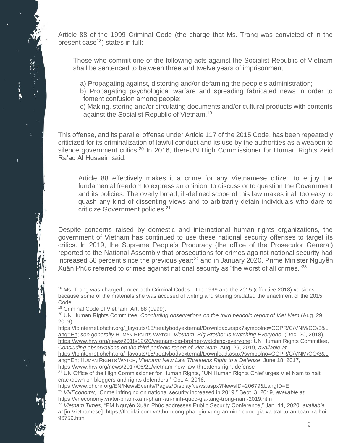Article 88 of the 1999 Criminal Code (the charge that Ms. Trang was convicted of in the present case<sup>18</sup>) states in full:

Those who commit one of the following acts against the Socialist Republic of Vietnam shall be sentenced to between three and twelve years of imprisonment:

- a) Propagating against, distorting and/or defaming the people's administration;
- b) Propagating psychological warfare and spreading fabricated news in order to foment confusion among people;
- c) Making, storing and/or circulating documents and/or cultural products with contents against the Socialist Republic of Vietnam.<sup>19</sup>

This offense, and its parallel offense under Article 117 of the 2015 Code, has been repeatedly criticized for its criminalization of lawful conduct and its use by the authorities as a weapon to silence government critics.<sup>20</sup> In 2016, then-UN High Commissioner for Human Rights Zeid Ra'ad Al Hussein said:

Article 88 effectively makes it a crime for any Vietnamese citizen to enjoy the fundamental freedom to express an opinion, to discuss or to question the Government and its policies. The overly broad, ill-defined scope of this law makes it all too easy to quash any kind of dissenting views and to arbitrarily detain individuals who dare to criticize Government policies.<sup>21</sup>

Despite concerns raised by domestic and international human rights organizations, the government of Vietnam has continued to use these national security offenses to target its critics. In 2019, the Supreme People's Procuracy (the office of the Prosecutor General) reported to the National Assembly that prosecutions for crimes against national security had increased 58 percent since the previous year;<sup>22</sup> and in January 2020, Prime Minister Nguyễn Xuân Phúc referred to crimes against national security as "the worst of all crimes."<sup>23</sup>

[https://tbinternet.ohchr.org/\\_layouts/15/treatybodyexternal/Download.aspx?symbolno=CCPR/C/VNM/CO/3&L](https://tbinternet.ohchr.org/_layouts/15/treatybodyexternal/Download.aspx?symbolno=CCPR/C/VNM/CO/3&Lang=En) [ang=En;](https://tbinternet.ohchr.org/_layouts/15/treatybodyexternal/Download.aspx?symbolno=CCPR/C/VNM/CO/3&Lang=En) HUMAN RIGHTS WATCH, *Vietnam: New Law Threatens Right to a Defense*, June 18, 2017, https://www.hrw.org/news/2017/06/21/vietnam-new-law-threatens-right-defense

<sup>21</sup> UN Office of the High Commissioner for Human Rights, "UN Human Rights Chief urges Viet Nam to halt crackdown on bloggers and rights defenders," Oct. 4, 2016,

https://www.ohchr.org/EN/NewsEvents/Pages/DisplayNews.aspx?NewsID=20679&LangID=E

<sup>22</sup> *VNEconomy*, "Crime infringing on national security increased in 2019," Sept. 3, 2019, *available at* https://vneconomy.vn/toi-pham-xam-pham-an-ninh-quoc-gia-tang-trong-nam-2019.htm

<sup>23</sup> *Vietnam Times*, "PM Nguyễn Xuân Phúc addresses Public Security Conference," Jan. 11, 2020, *available at* [in Vietnamese]: https://thoidai.com.vn/thu-tuong-phai-giu-vung-an-ninh-quoc-gia-va-trat-tu-an-toan-xa-hoi-96759.html

 $18$  Ms. Trang was charged under both Criminal Codes—the 1999 and the 2015 (effective 2018) versions because some of the materials she was accused of writing and storing predated the enactment of the 2015 Code.

<sup>&</sup>lt;sup>19</sup> Criminal Code of Vietnam, Art. 88 (1999).

<sup>20</sup> UN Human Rights Committee, *Concluding observations on the third periodic report of Viet Nam* (Aug. 29, 2019),

[https://tbinternet.ohchr.org/\\_layouts/15/treatybodyexternal/Download.aspx?symbolno=CCPR/C/VNM/CO/3&L](https://tbinternet.ohchr.org/_layouts/15/treatybodyexternal/Download.aspx?symbolno=CCPR/C/VNM/CO/3&Lang=En) [ang=En;](https://tbinternet.ohchr.org/_layouts/15/treatybodyexternal/Download.aspx?symbolno=CCPR/C/VNM/CO/3&Lang=En) *see generally* HUMAN RIGHTS WATCH, *Vietnam: Big Brother Is Watching Everyone*, (Dec. 20, 2018), [https://www.hrw.org/news/2018/12/20/vietnam-big-brother-watching-everyone;](https://www.hrw.org/news/2018/12/20/vietnam-big-brother-watching-everyone) UN Human Rights Committee, *Concluding observations on the third periodic report of Viet Nam*, Aug. 29, 2019, *available at*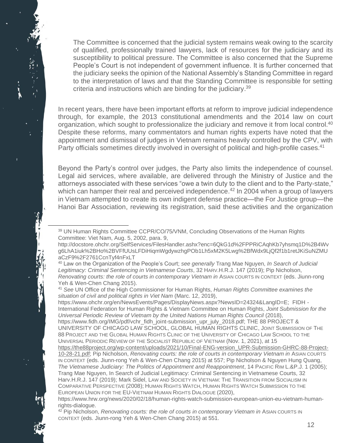The Committee is concerned that the judicial system remains weak owing to the scarcity of qualified, professionally trained lawyers, lack of resources for the judiciary and its susceptibility to political pressure. The Committee is also concerned that the Supreme People's Court is not independent of government influence. It is further concerned that the judiciary seeks the opinion of the National Assembly's Standing Committee in regard to the interpretation of laws and that the Standing Committee is responsible for setting criteria and instructions which are binding for the judiciary. 39

In recent years, there have been important efforts at reform to improve judicial independence through, for example, the 2013 constitutional amendments and the 2014 law on court organization, which sought to professionalize the judiciary and remove it from local control.<sup>40</sup> Despite these reforms, many commentators and human rights experts have noted that the appointment and dismissal of judges in Vietnam remains heavily controlled by the CPV, with Party officials sometimes directly involved in oversight of political and high-profile cases.<sup>41</sup>

Beyond the Party's control over judges, the Party also limits the independence of counsel. Legal aid services, where available, are delivered through the Ministry of Justice and the attorneys associated with these services "owe a twin duty to the client and to the Party-state," which can hamper their real and perceived independence.<sup>42</sup> In 2004 when a group of lawyers in Vietnam attempted to create its own indigent defense practice—the For Justice group—the Hanoi Bar Association, reviewing its registration, said these activities and the organization

https://www.ohchr.org/en/NewsEvents/Pages/DisplayNews.aspx?NewsID=24324&LangID=E; FIDH - International Federation for Human Rights & Vietnam Committee on Human Rights, *Joint Submission for the Universal Periodic Review of Vietnam by the United Nations Human Rights Council* (2018), https://www.fidh.org/IMG/pdf/vchr\_fidh\_joint-submission\_upr\_july\_2018.pdf; THE 88 PROJECT & UNIVERSITY OF CHICAGO LAW SCHOOL, GLOBAL HUMAN RIGHTS CLINIC, JOINT SUBMISSION OF THE 88 PROJECT AND THE GLOBAL HUMAN RIGHTS CLINIC OF THE UNIVERSITY OF CHICAGO LAW SCHOOL TO THE UNIVERSAL PERIODIC REVIEW OF THE SOCIALIST REPUBLIC OF VIETNAM (Nov. 1, 2021), at 15 [https://the88project.org/wp-content/uploads/2021/10/Final-ENG-version\\_UPR-Submission-GHRC-88-Project-](https://the88project.org/wp-content/uploads/2021/10/Final-ENG-version_UPR-Submission-GHRC-88-Project-10-28-21.pdf)

[10-28-21.pdf;](https://the88project.org/wp-content/uploads/2021/10/Final-ENG-version_UPR-Submission-GHRC-88-Project-10-28-21.pdf) Pip Nicholson, *Renovating courts: the role of courts in contemporary Vietnam in Asian courts* IN CONTEXT (eds. Jiunn-rong Yeh & Wen-Chen Chang 2015) at 557; Pip Nicholson & Nguyen Hung Quang, *The Vietnamese Judiciary: The Politics of Appointment and Reappointment*, 14 PACIFIC RIM L.&P.J. 1 (2005); Trang Mae Nguyen, In Search of Judicial Legitimacy: Criminal Sentencing in Vietnamese Courts, 32 Harv.H.R.J. 147 (2019); Mark Sidel, LAW AND SOCIETY IN VIETNAM: THE TRANSITION FROM SOCIALISM IN COMPARATIVE PERSPECTIVE (2008); HUMAN RIGHTS WATCH, HUMAN RIGHTS WATCH SUBMISSION TO THE EUROPEAN UNION FOR THE EU-VIETNAM HUMAN RIGHTS DIALOGUE (2020),

https://www.hrw.org/news/2020/02/18/human-rights-watch-submission-european-union-eu-vietnam-humanrights-dialogue.

<sup>42</sup> Pip Nicholson, *Renovating courts: the role of courts in contemporary Vietnam in ASIAN COURTS IN* CONTEXT (eds. Jiunn-rong Yeh & Wen-Chen Chang 2015) at 551.

<sup>&</sup>lt;sup>39</sup> UN Human Rights Committee CCPR/CO/75/VNM, Concluding Observations of the Human Rights Committee: Viet Nam, Aug. 5, 2002, para. 9,

http://docstore.ohchr.org/SelfServices/FilesHandler.ashx?enc=6QkG1d%2FPPRiCAqhKb7yhsmq1D%2B4Wv g6LhA1iuk%2BHo%2BVFfUUsLFDiHiqmWgdywzhgPOb1Lh5xM2K5Lwg%2BfWdx9LjQf2f1b1retJKiSuNZMU aCzF9%2F2761CcnTyf4nFxLT

<sup>40</sup> Law on the Organization of the People's Court; *see generally* Trang Mae Nguyen, *In Search of Judicial Legitimacy: Criminal Sentencing in Vietnamese Courts*, 32 HARV.H.R.J. 147 (2019); Pip Nicholson, *Renovating courts: the role of courts in contemporary Vietnam in* ASIAN COURTS IN CONTEXT (eds. Jiunn-rong Yeh & Wen-Chen Chang 2015).

<sup>41</sup> *See* UN Office of the High Commissioner for Human Rights, *Human Rights Committee examines the situation of civil and political rights in Viet Nam* (Marc. 12, 2019),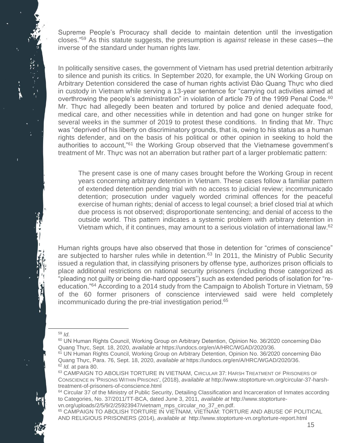Supreme People's Procuracy shall decide to maintain detention until the investigation closes." <sup>59</sup> As this statute suggests, the presumption is *against* release in these cases—the inverse of the standard under human rights law.

In politically sensitive cases, the government of Vietnam has used pretrial detention arbitrarily to silence and punish its critics. In September 2020, for example, the UN Working Group on Arbitrary Detention considered the case of human rights activist Đào Quang Thực who died in custody in Vietnam while serving a 13-year sentence for "carrying out activities aimed at overthrowing the people's administration" in violation of article 79 of the 1999 Penal Code.<sup>60</sup> Mr. Thực had allegedly been beaten and tortured by police and denied adequate food, medical care, and other necessities while in detention and had gone on hunger strike for several weeks in the summer of 2019 to protest these conditions. In finding that Mr. Thực was "deprived of his liberty on discriminatory grounds, that is, owing to his status as a human rights defender, and on the basis of his political or other opinion in seeking to hold the authorities to account,"<sup>61</sup> the Working Group observed that the Vietnamese government's treatment of Mr. Thực was not an aberration but rather part of a larger problematic pattern:

The present case is one of many cases brought before the Working Group in recent years concerning arbitrary detention in Vietnam. These cases follow a familiar pattern of extended detention pending trial with no access to judicial review; incommunicado detention; prosecution under vaguely worded criminal offences for the peaceful exercise of human rights; denial of access to legal counsel; a brief closed trial at which due process is not observed; disproportionate sentencing; and denial of access to the outside world. This pattern indicates a systemic problem with arbitrary detention in Vietnam which, if it continues, may amount to a serious violation of international law.<sup>62</sup>

Human rights groups have also observed that those in detention for "crimes of conscience" are subjected to harsher rules while in detention.<sup>63</sup> In 2011, the Ministry of Public Security issued a regulation that, in classifying prisoners by offense type, authorizes prison officials to place additional restrictions on national security prisoners (including those categorized as "pleading not guilty or being die-hard opposers") such as extended periods of isolation for "reeducation."<sup>64</sup> According to a 2014 study from the Campaign to Abolish Torture in Vietnam, 59 of the 60 former prisoners of conscience interviewed said were held completely incommunicado during the pre-trial investigation period.<sup>65</sup>

<sup>59</sup> *Id*.

<sup>60</sup> UN Human Rights Council, Working Group on Arbitrary Detention, Opinion No. 36/2020 concerning Đào Quang Thực, Sept. 18, 2020, *available at* https://undocs.org/en/A/HRC/WGAD/2020/36.

<sup>61</sup> UN Human Rights Council, Working Group on Arbitrary Detention, Opinion No. 36/2020 concerning Đào Quang Thực, Para. 76, Sept. 18, 2020, *available at* https://undocs.org/en/A/HRC/WGAD/2020/36. <sup>62</sup> *Id.* at para 80.

<sup>63</sup> CAMPAIGN TO ABOLISH TORTURE IN VIETNAM, CIRCULAR 37: HARSH TREATMENT OF PRISONERS OF CONSCIENCE IN 'PRISONS WITHIN PRISONS', (2018), *available at* http://www.stoptorture-vn.org/circular-37-harshtreatment-of-prisoners-of-conscience.html

<sup>&</sup>lt;sup>64</sup> Circular 37 of the Ministry of Public Security, Detailing Classification and Incarceration of Inmates according to Categories, No. 37/2011/TT-BCA, dated June 3, 2011, *available at* http://www.stoptorturevn.org/uploads/2/5/9/2/25923947/vietnam\_mps\_circular\_no\_37\_en.pdf.

<sup>65</sup> CAMPAIGN TO ABOLISH TORTURE IN VIETNAM, VIETNAM: TORTURE AND ABUSE OF POLITICAL AND RELIGIOUS PRISONERS (2014), *available at* http://www.stoptorture-vn.org/torture-report.html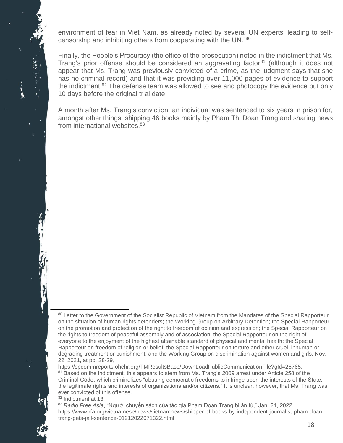environment of fear in Viet Nam, as already noted by several UN experts, leading to selfcensorship and inhibiting others from cooperating with the UN."<sup>80</sup>

Finally, the People's Procuracy (the office of the prosecution) noted in the indictment that Ms. Trang's prior offense should be considered an aggravating factor<sup>81</sup> (although it does not appear that Ms. Trang was previously convicted of a crime, as the judgment says that she has no criminal record) and that it was providing over 11,000 pages of evidence to support the indictment.<sup>82</sup> The defense team was allowed to see and photocopy the evidence but only 10 days before the original trial date.

A month after Ms. Trang's conviction, an individual was sentenced to six years in prison for, amongst other things, shipping 46 books mainly by Pham Thi Doan Trang and sharing news from international websites.<sup>83</sup>

<sup>&</sup>lt;sup>80</sup> Letter to the Government of the Socialist Republic of Vietnam from the Mandates of the Special Rapporteur on the situation of human rights defenders; the Working Group on Arbitrary Detention; the Special Rapporteur on the promotion and protection of the right to freedom of opinion and expression; the Special Rapporteur on the rights to freedom of peaceful assembly and of association; the Special Rapporteur on the right of everyone to the enjoyment of the highest attainable standard of physical and mental health; the Special Rapporteur on freedom of religion or belief; the Special Rapporteur on torture and other cruel, inhuman or degrading treatment or punishment; and the Working Group on discrimination against women and girls, Nov. 22, 2021, at pp. 28-29,

https://spcommreports.ohchr.org/TMResultsBase/DownLoadPublicCommunicationFile?gId=26765.  $81$  Based on the indictment, this appears to stem from Ms. Trang's 2009 arrest under Article 258 of the Criminal Code, which criminalizes "abusing democratic freedoms to infringe upon the interests of the State, the legitimate rights and interests of organizations and/or citizens." It is unclear, however, that Ms. Trang was ever convicted of this offense.

<sup>&</sup>lt;sup>82</sup> Indictment at 13.

<sup>83</sup> *Radio Free Asia*, "Người chuyển sách của tác giả Phạm Đoan Trang bị án tù," Jan. 21, 2022, https://www.rfa.org/vietnamese/news/vietnamnews/shipper-of-books-by-independent-journalist-pham-doantrang-gets-jail-sentence-01212022071322.html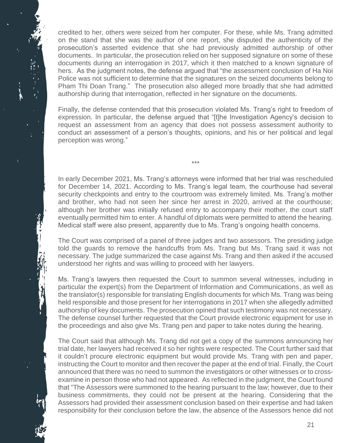credited to her, others were seized from her computer. For these, while Ms. Trang admitted on the stand that she was the author of one report, she disputed the authenticity of the prosecution's asserted evidence that she had previously admitted authorship of other documents. In particular, the prosecution relied on her supposed signature on some of these documents during an interrogation in 2017, which it then matched to a known signature of hers. As the judgment notes, the defense argued that "the assessment conclusion of Ha Noi Police was not sufficient to determine that the signatures on the seized documents belong to Pham Thi Doan Trang." The prosecution also alleged more broadly that she had admitted authorship during that interrogation, reflected in her signature on the documents.

Finally, the defense contended that this prosecution violated Ms. Trang's right to freedom of expression. In particular, the defense argued that "[t]he Investigation Agency's decision to request an assessment from an agency that does not possess assessment authority to conduct an assessment of a person's thoughts, opinions, and his or her political and legal perception was wrong."

\*\*\*

In early December 2021, Ms. Trang's attorneys were informed that her trial was rescheduled for December 14, 2021. According to Ms. Trang's legal team, the courthouse had several security checkpoints and entry to the courtroom was extremely limited. Ms. Trang's mother and brother, who had not seen her since her arrest in 2020, arrived at the courthouse; although her brother was initially refused entry to accompany their mother, the court staff eventually permitted him to enter. A handful of diplomats were permitted to attend the hearing. Medical staff were also present, apparently due to Ms. Trang's ongoing health concerns.

The Court was comprised of a panel of three judges and two assessors. The presiding judge told the guards to remove the handcuffs from Ms. Trang but Ms. Trang said it was not necessary. The judge summarized the case against Ms. Trang and then asked if the accused understood her rights and was willing to proceed with her lawyers.

Ms. Trang's lawyers then requested the Court to summon several witnesses, including in particular the expert(s) from the Department of Information and Communications, as well as the translator(s) responsible for translating English documents for which Ms. Trang was being held responsible and those present for her interrogations in 2017 when she allegedly admitted authorship of key documents. The prosecution opined that such testimony was not necessary. The defense counsel further requested that the Court provide electronic equipment for use in the proceedings and also give Ms. Trang pen and paper to take notes during the hearing.

The Court said that although Ms. Trang did not get a copy of the summons announcing her trial date, her lawyers had received it so her rights were respected. The Court further said that it couldn't procure electronic equipment but would provide Ms. Trang with pen and paper, instructing the Court to monitor and then recover the paper at the end of trial. Finally, the Court announced that there was no need to summon the investigators or other witnesses or to crossexamine in person those who had not appeared. As reflected in the judgment, the Court found that "The Assessors were summoned to the hearing pursuant to the law; however, due to their business commitments, they could not be present at the hearing. Considering that the Assessors had provided their assessment conclusion based on their expertise and had taken responsibility for their conclusion before the law, the absence of the Assessors hence did not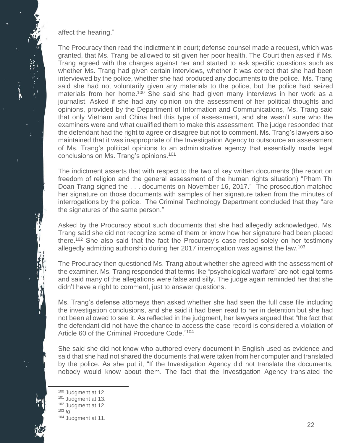affect the hearing."

The Procuracy then read the indictment in court; defense counsel made a request, which was granted, that Ms. Trang be allowed to sit given her poor health. The Court then asked if Ms. Trang agreed with the charges against her and started to ask specific questions such as whether Ms. Trang had given certain interviews, whether it was correct that she had been interviewed by the police, whether she had produced any documents to the police. Ms. Trang said she had not voluntarily given any materials to the police, but the police had seized materials from her home.<sup>100</sup> She said she had given many interviews in her work as a journalist. Asked if she had any opinion on the assessment of her political thoughts and opinions, provided by the Department of Information and Communications, Ms. Trang said that only Vietnam and China had this type of assessment, and she wasn't sure who the examiners were and what qualified them to make this assessment. The judge responded that the defendant had the right to agree or disagree but not to comment. Ms. Trang's lawyers also maintained that it was inappropriate of the Investigation Agency to outsource an assessment of Ms. Trang's political opinions to an administrative agency that essentially made legal conclusions on Ms. Trang's opinions.<sup>101</sup>

The indictment asserts that with respect to the two of key written documents (the report on freedom of religion and the general assessment of the human rights situation) "Pham Thi Doan Trang signed the . . . documents on November 16, 2017." The prosecution matched her signature on those documents with samples of her signature taken from the minutes of interrogations by the police. The Criminal Technology Department concluded that they "are the signatures of the same person."

Asked by the Procuracy about such documents that she had allegedly acknowledged, Ms. Trang said she did not recognize some of them or know how her signature had been placed there.<sup>102</sup> She also said that the fact the Procuracy's case rested solely on her testimony allegedly admitting authorship during her 2017 interrogation was against the law.<sup>103</sup>

The Procuracy then questioned Ms. Trang about whether she agreed with the assessment of the examiner. Ms. Trang responded that terms like "psychological warfare" are not legal terms and said many of the allegations were false and silly. The judge again reminded her that she didn't have a right to comment, just to answer questions.

Ms. Trang's defense attorneys then asked whether she had seen the full case file including the investigation conclusions, and she said it had been read to her in detention but she had not been allowed to see it. As reflected in the judgment, her lawyers argued that "the fact that the defendant did not have the chance to access the case record is considered a violation of Article 60 of the Criminal Procedure Code."<sup>104</sup>

She said she did not know who authored every document in English used as evidence and said that she had not shared the documents that were taken from her computer and translated by the police. As she put it, "If the Investigation Agency did not translate the documents, nobody would know about them. The fact that the Investigation Agency translated the

<sup>100</sup> Judgment at 12.

<sup>101</sup> Judgment at 13.

<sup>102</sup> Judgment at 12.

<sup>103</sup> *Id*.

<sup>104</sup> Judgment at 11.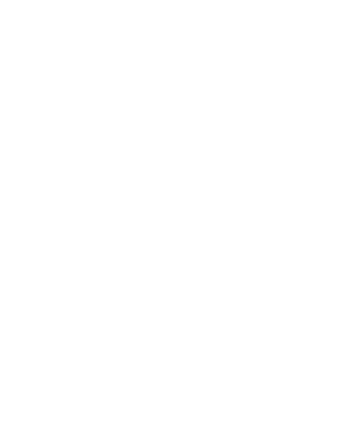Article 88 of the 1999 Criminal Code (the charge that Ms. Trang was convicted of in the present case<sup>18</sup>) states in full:

Those who commit one of the following acts against the Socialist Republic of Vietnam shall be sentenced to between three and twelve years of imprisonment:

- a) Propagating against, distorting and/or defaming the people's administration;
- b) Propagating psychological warfare and spreading fabricated news in order to foment confusion among people:
- c) Making, storing and/or circulating documents and/or cultural products with contents against the Socialist Republic of Vietnam.<sup>19</sup>

This offense, and its parallel offense under Article 117 of the 2015 Code, has been repeatedly criticized for its criminalization of lawful conduct and its use by the authorities as a weapon to silence government critics.<sup>20</sup> In 2016, then-UN High Commissioner for Human Rights Zeid 5D ¶ D G \$ O saXdV V H L Q

Article 88 effectively makes it a crime for any Vietnamese citizen to enjoy the fundamental freedom to express an opinion, to discuss or to question the Government and its policies. The overly broad, ill-defined scope of this law makes it all too easy to quash any kind of dissenting views and to arbitrarily detain individuals who dare to criticize Government policies.<sup>21</sup>

Despite concerns raised by domestic and international human rights organizations, the government of Vietnam has continued to use these national security offenses to target its WKH 6XSUHPH 3HRSOH | V 3URFXANDALFI FULWLFV  $\Box$ reported to the National Assembly that prosecutions for crimes against national security had increased 58 percent since the previous year;<sup>22</sup> and in January 2020, Prime Minister Nguy  $\overline{f}$ n : X k Q 3 K ~ F U H I H U U H G W R F U L P H V D J D LROUWWW QROI WDLOPROQ IF O L VF

https://tbinternet.ohchr.org/ layouts/15/treatybodyexternal/Download.aspx?symbolno=CCPR/C/VNM/CO/3&L

ang=En; HUMAN RIGHTS WATCH, Vietnam: New Law Threatens Right to a Defense, June 18, 2017, https://www.hrw.org/news/2017/06/21/vietnam-new-law-threatens-right-defense

https://www.ohchr.org/EN/NewsEvents/Pages/DisplayNews.aspx?NewsID=20679&LangID=E

<sup>&</sup>lt;sup>18</sup> Ms. Trang was charged under both Criminal Codes  $2$  the 1999 and the 2015 (effective 2018) versions  $2$ because some of the materials she was accused of writing and storing predated the enactment of the 2015 Code.

<sup>&</sup>lt;sup>19</sup> Criminal Code of Vietnam, Art, 88 (1999).

<sup>&</sup>lt;sup>20</sup> UN Human Rights Committee, Concluding observations on the third periodic report of Viet Nam (Aug. 29, 2019),

https://tbinternet.ohchr.org/\_layouts/15/treatybodyexternal/Download.aspx?symbolno=CCPR/C/VNM/CO/3&L ang=En; see generally H∪MAN RIGHTS WATCH, Vietnam: Big Brother Is Watching Everyone, (Dec. 20, 2018), https://www.hrw.org/news/2018/12/20/vietnam-big-brother-watching-everyone; UN Human Rights Committee, Concluding observations on the third periodic report of Viet Nam, Aug. 29, 2019, available at

 $2181$  211 LFH RI WKH + LJK & RPPLVVLRQHU IRU + XPDQ 5 LJKWV  $381$  + XF crackdown on bloggers an G ULJKWV GHIHQGHUV '2FW

<sup>&</sup>lt;sup>22</sup> VNEconomy 3& ULPH LQIULQJLQJ RQ QDWLRQDO VHFX Ualva Walblel and FUHDVHG https://vneconomy.vn/toi-pham-xam-pham-an-ninh-quoc-gia-tang-trong-nam-2019.htm

<sup>&</sup>lt;sup>23</sup> Vietnam Times <sup>3</sup>30 1 上図\; X k Q 3 K ~ F D G G U H V V H V 3 X E O L F 6 H F X U LaWaNab&eR Q I H at [in Vietnamese]: https://thoidai.com.vn/thu-tuong-phai-giu-vung-an-ninh-guoc-gia-va-trat-tu-an-toan-xa-hoi-96759.html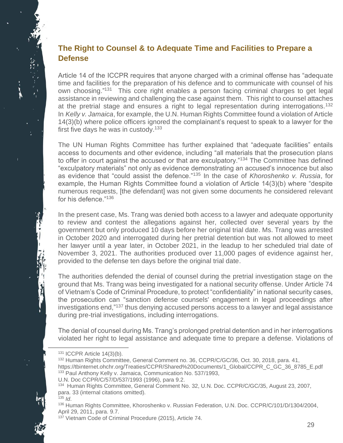## **The Right to Counsel & to Adequate Time and Facilities to Prepare a Defense**

Article 14 of the ICCPR requires that anyone charged with a criminal offense has "adequate time and facilities for the preparation of his defence and to communicate with counsel of his own choosing."<sup>131</sup> This core right enables a person facing criminal charges to get legal assistance in reviewing and challenging the case against them. This right to counsel attaches at the pretrial stage and ensures a right to legal representation during interrogations.<sup>132</sup> In *Kelly v. Jamaica*, for example, the U.N. Human Rights Committee found a violation of Article 14(3)(b) where police officers ignored the complainant's request to speak to a lawyer for the first five days he was in custody.<sup>133</sup>

The UN Human Rights Committee has further explained that "adequate facilities" entails access to documents and other evidence, including "all materials that the prosecution plans to offer in court against the accused or that are exculpatory."<sup>134</sup> The Committee has defined "exculpatory materials" not only as evidence demonstrating an accused's innocence but also as evidence that "could assist the defence."<sup>135</sup> In the case of *Khoroshenko v. Russia*, for example, the Human Rights Committee found a violation of Article 14(3)(b) where "despite numerous requests, [the defendant] was not given some documents he considered relevant for his defence."<sup>136</sup>

In the present case, Ms. Trang was denied both access to a lawyer and adequate opportunity to review and contest the allegations against her, collected over several years by the government but only produced 10 days before her original trial date. Ms. Trang was arrested in October 2020 and interrogated during her pretrial detention but was not allowed to meet her lawyer until a year later, in October 2021, in the leadup to her scheduled trial date of November 3, 2021. The authorities produced over 11,000 pages of evidence against her, provided to the defense ten days before the original trial date.

The authorities defended the denial of counsel during the pretrial investigation stage on the ground that Ms. Trang was being investigated for a national security offense. Under Article 74 of Vietnam's Code of Criminal Procedure, to protect "confidentiality" in national security cases, the prosecution can "sanction defense counsels' engagement in legal proceedings after investigations end,"<sup>137</sup> thus denying accused persons access to a lawyer and legal assistance during pre-trial investigations, including interrogations.

The denial of counsel during Ms. Trang's prolonged pretrial detention and in her interrogations violated her right to legal assistance and adequate time to prepare a defense. Violations of

U.N. Doc CCPR/C/57/D/537/1993 (1996), para 9.2.

<sup>131</sup> ICCPR Article 14(3)(b).

<sup>132</sup> Human Rights Committee, General Comment no. 36, CCPR/C/GC/36, Oct. 30, 2018, para. 41, https://tbinternet.ohchr.org/Treaties/CCPR/Shared%20Documents/1\_Global/CCPR\_C\_GC\_36\_8785\_E.pdf <sup>133</sup> Paul Anthony Kelly v. Jamaica, Communication No. 537/1993,

<sup>134</sup> Human Rights Committee, General Comment No. 32, U.N. Doc. CCPR/C/GC/35, August 23, 2007, para. 33 (internal citations omitted).  $135$  *Id.* 

<sup>136</sup> Human Rights Committee, Khoroshenko v. Russian Federation, U.N. Doc. CCPR/C/101/D/1304/2004, April 29, 2011, para. 9.7.

<sup>&</sup>lt;sup>137</sup> Vietnam Code of Criminal Procedure (2015), Article 74.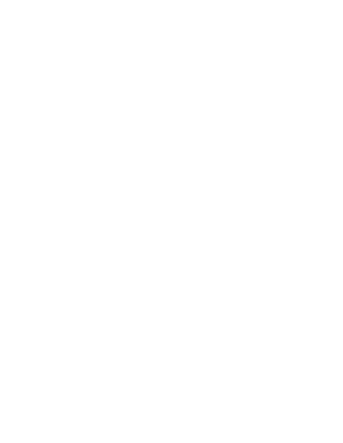Restrictions on Freedom of Expression in Vietnam

**Through Nat ional Security Laws** 

In recent years, Vietnam has intensified its crackdown on dissent, arresting journalists, bloggers, human rights activists, labor activists, and many others and charging them with criminal offenses that carry huge penalties. Of particular concern is the application of broadly-GHILQHG 3QDWLRQDO VHFXULW\' RIIHQVHV W-ROIE (ASBEDE CHILQHG 3QDWLRQDO VHFXULW\' RIIHQVHV W-ROIE (ASBEDE CHI related offenses.

According to The 88 Project for Free Speech in Viet Nam, as of March 4, 2022, there are 204 individuals detained in Vietnam for their writing or activism, 36 of whom are women, with many more facing harassment by the authorities for their criticism of the government.<sup>7</sup> The 88 Project has further documented that 35 people were arrested in 2020 for their advocacy work in Vietnam<sup>2</sup> including 27 people charged with  $3QDWLRQDO VHFXULW$ <sup>\*</sup> R11 UHFHLYHG OLIH LQ SULVRQ IRU 3DFWLYL<sup>3</sup>MD efen a the Defender's W similarly found that the majority of the political prisoners serving sentences in 2021 were FRQYLFWHG RI SROLWLFDO FULPHV LQFOXGLQJ 3VXEYHU GHPRFUDWLF IUHHGRP ' 3GLVUXSWLRQ RI VHFXULW\ ' D

In 2015, Vietnam adopted a new criminal code, which went into effect in 2018; this code expanded the number of national security offenses and, in some cases, added harsher penalties.<sup>10</sup> These offenses, listed under Articles 78 through 92 in the 1999 code, include a wide range of broadly- G HILQ H G R I I H Q V H V V X F K D V 3 U H E H O O L R Q ' Undermining the implementation of socio-economic policies  $\sim$  \$ U W L F Od hducting  $3$ propaganda against the Socialist Republic of Vietnam ' **SVULFOH** fleeir**a** abboad or GHIHFWLQJ WR VWD\RYHUVHDV ZLWK D YLHZ WRSURG&NISTROV The 2015 code lists national security offenses under Articles 108-122, renaming some offenses, adding others, and expanding the penalties. For example, and central to the present FDVH <sup>3</sup> F R Q G X F W L @  $\rightarrow$  ES @ Rng, DstbDng Gnd/or circulating documents and/or cultural products with contents against the Socialist Republic of Vietnam 1 **SUWLFOH** 

FRGH ZDV 3XSGDWHG 'ZLWK D SDUDOOHOma0kiDgZsto\$inlg,WL spreading information, materials, items for the purpose of opposing the State of Socialist Republic of Vietnam<sup>12</sup> The sentencing range for this offense under Article 88 is three to 12 years in prison; under Article 117, the minimum sentence is five years in prison.

Both codes share vague and expansive terms without clarification through definitions, and

<sup>11</sup> Socialist Republic of Vietnam, Penal Code (No. 15/1999/QH10),

<sup>&</sup>lt;sup>7</sup> The 88 Project for Free Speech in Viet Nam, Database of Persecuted Activists in Vietnam, https://the88project.org/database/ (accessed March 4, 2022).

<sup>&</sup>lt;sup>8</sup> THE 88 PROJECT FOR FREE SPEECH IN VIETNAM, 2020 HUMAN RIGHTS REPORT VIETNAM: OUR REPORT ON POLITICAL PRISONERS AND ACTIVISTS AT RISK (2021), available at https://the88project.org/wpcontent/uploads/2021/04/HR-Report-20\_final.pdf.

<sup>&</sup>lt;sup>9</sup> VIETNAM DEFEND THE DEFENDERS, DEFEND THE DEFENDERS LATEST STATISTICS: VIETNAM HOLDS 264 PRISONERS OF CONSCIENCE (Oct. 10, 2021).

<sup>&</sup>lt;sup>10</sup> See + X P D Q 5 L J K W V : D W F K L G H M B W H D G µ 1 D W L R Q D O 6 H F X U L W \ ¶ \$ U U H \ https://www.hrw.org/news/2015/11/19/vietnam-widespread-national-security-arrests.

https://www.ilo.org/dyn/natlex/docs/ELECTRONIC/56207/111125/F97325861/VNM56207%20Eng.pdf <sup>12</sup> Socialist Republic of Vietnam, No. 100/2015/QH13, Criminal Code 2015, Article 117,

https://www.pdicinglaw.info/assets/downloads/2015 Criminal Code of Vietnam (English translation) pridile

LQ WKH & ULPLQDO & RGH MXVW FRYHU WhPREDANTICL@88 aldt@eG999V4CoRdeJLC is broader and making and storing propaganda is only one subsection.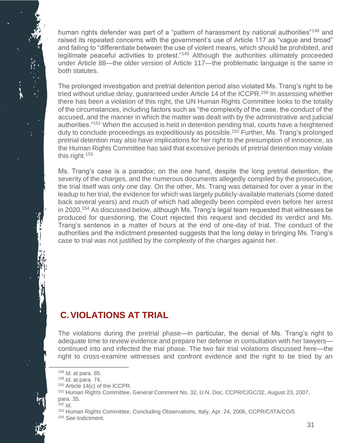human rights defender was part of a "pattern of harassment by national authorities"<sup>148</sup> and raised its repeated concerns with the government's use of Article 117 as "vague and broad" and failing to "differentiate between the use of violent means, which should be prohibited, and legitimate peaceful activities to protest."<sup>149</sup> Although the authorities ultimately proceeded under Article 88—the older version of Article 117—the problematic language is the same in both statutes.

The prolonged investigation and pretrial detention period also violated Ms. Trang's right to be tried without undue delay, quaranteed under Article 14 of the ICCPR.<sup>150</sup> In assessing whether there has been a violation of this right, the UN Human Rights Committee looks to the totality of the circumstances, including factors such as "the complexity of the case, the conduct of the accused, and the manner in which the matter was dealt with by the administrative and judicial authorities."<sup>151</sup> When the accused is held in detention pending trial, courts have a heightened duty to conclude proceedings as expeditiously as possible.<sup>152</sup> Further, Ms. Trang's prolonged pretrial detention may also have implications for her right to the presumption of innocence, as the Human Rights Committee has said that excessive periods of pretrial detention may violate this right.<sup>153</sup>

Ms. Trang's case is a paradox; on the one hand, despite the long pretrial detention, the severity of the charges, and the numerous documents allegedly compiled by the prosecution, the trial itself was only one day. On the other, Ms. Trang was detained for over a year in the leadup to her trial, the evidence for which was largely publicly-available materials (some dated back several years) and much of which had allegedly been compiled even before her arrest in 2020.<sup>154</sup> As discussed below, although Ms. Trang's legal team requested that witnesses be produced for questioning, the Court rejected this request and decided its verdict and Ms. Trang's sentence in a matter of hours at the end of one-day of trial. The conduct of the authorities and the indictment presented suggests that the long delay in bringing Ms. Trang's case to trial was not justified by the complexity of the charges against her.

# **C.VIOLATIONS AT TRIAL**

The violations during the pretrial phase—in particular, the denial of Ms. Trang's right to adequate time to review evidence and prepare her defense in consultation with her lawyers continued into and infected the trial phase. The two fair trial violations discussed here—the right to cross-examine witnesses and confront evidence and the right to be tried by an

<sup>&</sup>lt;sup>153</sup> Human Rights Committee, Concluding Observations, Italy, Apr. 24, 2006, CCPR/C/ITA/CO/5 <sup>154</sup> *See* Indictment.



31

<sup>148</sup> *Id*. at para. 85.

<sup>149</sup> *Id*. at para. 74.

<sup>150</sup> Article 14(c) of the ICCPR.

<sup>151</sup> Human Rights Committee, General Comment No. 32, U.N. Doc. CCPR/C/GC/32, August 23, 2007, para. 35.  $152$  *Id.*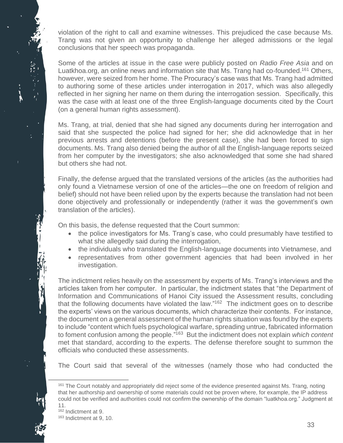violation of the right to call and examine witnesses. This prejudiced the case because Ms. Trang was not given an opportunity to challenge her alleged admissions or the legal conclusions that her speech was propaganda.

Some of the articles at issue in the case were publicly posted on *Radio Free Asia* and on Luatkhoa.org, an online news and information site that Ms. Trang had co-founded.<sup>161</sup> Others, however, were seized from her home. The Procuracy's case was that Ms. Trang had admitted to authoring some of these articles under interrogation in 2017, which was also allegedly reflected in her signing her name on them during the interrogation session. Specifically, this was the case with at least one of the three English-language documents cited by the Court (on a general human rights assessment).

Ms. Trang, at trial, denied that she had signed any documents during her interrogation and said that she suspected the police had signed for her; she did acknowledge that in her previous arrests and detentions (before the present case), she had been forced to sign documents. Ms. Trang also denied being the author of all the English-language reports seized from her computer by the investigators; she also acknowledged that some she had shared but others she had not.

Finally, the defense argued that the translated versions of the articles (as the authorities had only found a Vietnamese version of one of the articles—the one on freedom of religion and belief) should not have been relied upon by the experts because the translation had not been done objectively and professionally or independently (rather it was the government's own translation of the articles).

On this basis, the defense requested that the Court summon:

- the police investigators for Ms. Trang's case, who could presumably have testified to what she allegedly said during the interrogation,
- the individuals who translated the English-language documents into Vietnamese, and
- representatives from other government agencies that had been involved in her investigation.

The indictment relies heavily on the assessment by experts of Ms. Trang's interviews and the articles taken from her computer. In particular, the indictment states that "the Department of Information and Communications of Hanoi City issued the Assessment results, concluding that the following documents have violated the law."<sup>162</sup> The indictment goes on to describe the experts' views on the various documents, which characterize their contents. For instance, the document on a general assessment of the human rights situation was found by the experts to include "content which fuels psychological warfare, spreading untrue, fabricated information to foment confusion among the people."<sup>163</sup> But the indictment does not explain *which content* met that standard, according to the experts. The defense therefore sought to summon the officials who conducted these assessments.

The Court said that several of the witnesses (namely those who had conducted the

<sup>&</sup>lt;sup>161</sup> The Court notably and appropriately did reject some of the evidence presented against Ms. Trang, noting that her authorship and ownership of some materials could not be proven where, for example, the IP address could not be verified and authorities could not confirm the ownership of the domain "luatkhoa.org." Judgment at 11.

<sup>162</sup> Indictment at 9.

<sup>163</sup> Indictment at 9, 10.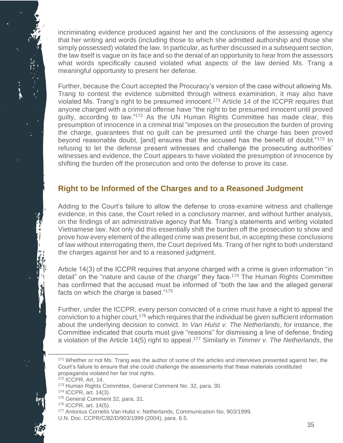incriminating evidence produced against her and the conclusions of the assessing agency that her writing and words (including those to which she admitted authorship and those she simply possessed) violated the law. In particular, as further discussed in a subsequent section, the law itself is vague on its face and so the denial of an opportunity to hear from the assessors what words specifically caused violated what aspects of the law denied Ms. Trang a meaningful opportunity to present her defense.

Further, because the Court accepted the Procuracy's version of the case without allowing Ms. Trang to contest the evidence submitted through witness examination, it may also have violated Ms. Trang's right to be presumed innocent. <sup>171</sup> Article 14 of the ICCPR requires that anyone charged with a criminal offense have "the right to be presumed innocent until proved guilty, according to law."<sup>172</sup> As the UN Human Rights Committee has made clear, this presumption of innocence in a criminal trial "imposes on the prosecution the burden of proving the charge, guarantees that no guilt can be presumed until the charge has been proved beyond reasonable doubt, [and] ensures that the accused has the benefit of doubt."<sup>173</sup> In refusing to let the defense present witnesses and challenge the prosecuting authorities' witnesses and evidence, the Court appears to have violated the presumption of innocence by shifting the burden off the prosecution and onto the defense to prove its case.

## **Right to be Informed of the Charges and to a Reasoned Judgment**

Adding to the Court's failure to allow the defense to cross-examine witness and challenge evidence, in this case, the Court relied in a conclusory manner, and without further analysis, on the findings of an administrative agency that Ms. Trang's statements and writing violated Vietnamese law. Not only did this essentially shift the burden off the prosecution to show and prove how every element of the alleged crime was present but, in accepting these conclusions of law without interrogating them, the Court deprived Ms. Trang of her right to both understand the charges against her and to a reasoned judgment.

Article 14(3) of the ICCPR requires that anyone charged with a crime is given information "in detail" on the "nature and cause of the charge" they face.<sup>174</sup> The Human Rights Committee has confirmed that the accused must be informed of "both the law and the alleged general facts on which the charge is based."<sup>175</sup>

Further, under the ICCPR, every person convicted of a crime must have a right to appeal the conviction to a higher court,<sup>176</sup> which requires that the individual be given sufficient information about the underlying decision to convict. In *Van Hulst v. The Netherlands*, for instance, the Committee indicated that courts must give "reasons" for dismissing a line of defense, finding a violation of the Article 14(5) right to appeal. <sup>177</sup> Similarly in *Timmer v. The Netherlands*, the

<sup>&</sup>lt;sup>171</sup> Whether or not Ms. Trang was the author of some of the articles and interviews presented against her, the Court's failure to ensure that she could challenge the assessments that these materials constituted propaganda violated her fair trial rights.

<sup>172</sup> ICCPR, Art. 14.

<sup>173</sup> Human Rights Committee, General Comment No. 32, para. 30.

<sup>174</sup> ICCPR, art. 14(3).

<sup>175</sup> General Comment 32, para. 31.

<sup>176</sup> ICCPR, art. 14(5).

<sup>177</sup> Antonius Cornelis Van Hulst v. Netherlands, Communication No. 903/1999,

U.N. Doc. CCPR/C/82/D/903/1999 (2004), para. 6.5.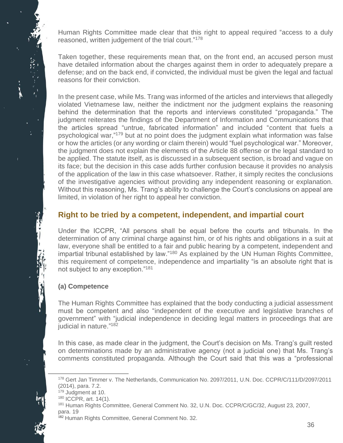Human Rights Committee made clear that this right to appeal required "access to a duly reasoned, written judgement of the trial court."<sup>178</sup>

Taken together, these requirements mean that, on the front end, an accused person must have detailed information about the charges against them in order to adequately prepare a defense; and on the back end, if convicted, the individual must be given the legal and factual reasons for their conviction.

In the present case, while Ms. Trang was informed of the articles and interviews that allegedly violated Vietnamese law, neither the indictment nor the judgment explains the reasoning behind the determination that the reports and interviews constituted "propaganda." The judgment reiterates the findings of the Department of Information and Communications that the articles spread "untrue, fabricated information" and included "content that fuels a psychological war,"<sup>179</sup> but at no point does the judgment explain what information was false or how the articles (or any wording or claim therein) would "fuel psychological war." Moreover, the judgment does not explain the elements of the Article 88 offense or the legal standard to be applied. The statute itself, as is discussed in a subsequent section, is broad and vague on its face; but the decision in this case adds further confusion because it provides no analysis of the application of the law in this case whatsoever. Rather, it simply recites the conclusions of the investigative agencies without providing any independent reasoning or explanation. Without this reasoning, Ms. Trang's ability to challenge the Court's conclusions on appeal are limited, in violation of her right to appeal her conviction.

## **Right to be tried by a competent, independent, and impartial court**

Under the ICCPR, "All persons shall be equal before the courts and tribunals. In the determination of any criminal charge against him, or of his rights and obligations in a suit at law, everyone shall be entitled to a fair and public hearing by a competent, independent and impartial tribunal established by law."<sup>180</sup> As explained by the UN Human Rights Committee, this requirement of competence, independence and impartiality "is an absolute right that is not subject to any exception."<sup>181</sup>

#### **(a) Competence**

The Human Rights Committee has explained that the body conducting a judicial assessment must be competent and also "independent of the executive and legislative branches of government" with "judicial independence in deciding legal matters in proceedings that are judicial in nature."<sup>182</sup>

In this case, as made clear in the judgment, the Court's decision on Ms. Trang's guilt rested on determinations made by an administrative agency (not a judicial one) that Ms. Trang's comments constituted propaganda. Although the Court said that this was a "professional

<sup>178</sup> Gert Jan Timmer v. The Netherlands, Communication No. 2097/2011, U.N. Doc. CCPR/C/111/D/2097/2011 (2014), para. 7.2.

<sup>179</sup> Judgment at 10.

<sup>180</sup> ICCPR, art. 14(1).

<sup>&</sup>lt;sup>181</sup> Human Rights Committee, General Comment No. 32, U.N. Doc. CCPR/C/GC/32, August 23, 2007, para. 19

<sup>&</sup>lt;sup>182</sup> Human Rights Committee, General Comment No. 32.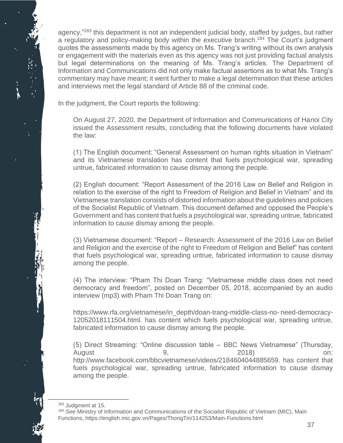agency,"<sup>183</sup> this department is not an independent judicial body, staffed by judges, but rather a regulatory and policy-making body within the executive branch.<sup>184</sup> The Court's judgment quotes the assessments made by this agency on Ms. Trang's writing without its own analysis or engagement with the materials even as this agency was not just providing factual analysis but legal determinations on the meaning of Ms. Trang's articles. The Department of Information and Communications did not only make factual assertions as to what Ms. Trang's commentary may have meant; it went further to make a legal determination that these articles and interviews met the legal standard of Article 88 of the criminal code.

In the judgment, the Court reports the following:

On August 27, 2020, the Department of Information and Communications of Hanoi City issued the Assessment results, concluding that the following documents have violated the law:

(1) The English document: "General Assessment on human rights situation in Vietnam" and its Vietnamese translation has content that fuels psychological war, spreading untrue, fabricated information to cause dismay among the people.

(2) English document: "Report Assessment of the 2016 Law on Belief and Religion in relation to the exercise of the right to Freedom of Religion and Belief in Vietnam" and its Vietnamese translation consists of distorted information about the guidelines and policies of the Socialist Republic of Vietnam. This document defamed and opposed the People's Government and has content that fuels a psychological war, spreading untrue, fabricated information to cause dismay among the people.

(3) Vietnamese document: "Report – Research: Assessment of the 2016 Law on Belief and Religion and the exercise of the right to Freedom of Religion and Belief" has content that fuels psychological war, spreading untrue, fabricated information to cause dismay among the people.

(4) The interview: "Pham Thi Doan Trang: "Vietnamese middle class does not need democracy and freedom", posted on December 05, 2018, accompanied by an audio interview (mp3) with Pham Thi Doan Trang on:

https://www.rfa.org/vietnamese/in\_depth/doan-trang-middle-class-no- need-democracy-12052018111504.html. has content which fuels psychological war, spreading untrue, fabricated information to cause dismay among the people.

(5) Direct Streaming: "Online discussion table – BBC News Vietnamese" (Thursday, August 9, 2018) on: http://www.facebook.com/bbcvietnamese/videos/2184604044885659. has content that fuels psychological war, spreading untrue, fabricated information to cause dismay among the people.

<sup>&</sup>lt;sup>183</sup> Judgment at 15.

<sup>184</sup> *See* Ministry of Information and Communications of the Socialist Republic of Vietnam (MIC), Main Functions, https://english.mic.gov.vn/Pages/ThongTin/114253/Main-Functions.html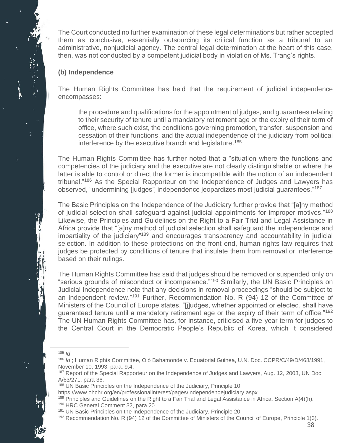The Court conducted no further examination of these legal determinations but rather accepted them as conclusive, essentially outsourcing its critical function as a tribunal to an administrative, nonjudicial agency. The central legal determination at the heart of this case, then, was not conducted by a competent judicial body in violation of Ms. Trang's rights.

#### **(b) Independence**

The Human Rights Committee has held that the requirement of judicial independence encompasses:

the procedure and qualifications for the appointment of judges, and guarantees relating to their security of tenure until a mandatory retirement age or the expiry of their term of office, where such exist, the conditions governing promotion, transfer, suspension and cessation of their functions, and the actual independence of the judiciary from political interference by the executive branch and legislature.<sup>185</sup>

The Human Rights Committee has further noted that a "situation where the functions and competencies of the judiciary and the executive are not clearly distinguishable or where the latter is able to control or direct the former is incompatible with the notion of an independent tribunal."<sup>186</sup> As the Special Rapporteur on the Independence of Judges and Lawyers has observed, "undermining [judges'] independence jeopardizes most judicial guarantees."<sup>187</sup>

The Basic Principles on the Independence of the Judiciary further provide that "[a]ny method of judicial selection shall safeguard against judicial appointments for improper motives."<sup>188</sup> Likewise, the Principles and Guidelines on the Right to a Fair Trial and Legal Assistance in Africa provide that "[a]ny method of judicial selection shall safeguard the independence and impartiality of the judiciary"<sup>189</sup> and encourages transparency and accountability in judicial selection. In addition to these protections on the front end, human rights law requires that judges be protected by conditions of tenure that insulate them from removal or interference based on their rulings.

The Human Rights Committee has said that judges should be removed or suspended only on "serious grounds of misconduct or incompetence."<sup>190</sup> Similarly, the UN Basic Principles on Judicial Independence note that any decisions in removal proceedings "should be subject to an independent review."<sup>191</sup> Further, Recommendation No. R (94) 12 of the Committee of Ministers of the Council of Europe states, "[j]udges, whether appointed or elected, shall have guaranteed tenure until a mandatory retirement age or the expiry of their term of office."<sup>192</sup> The UN Human Rights Committee has, for instance, criticised a five-year term for judges to the Central Court in the Democratic People's Republic of Korea, which it considered

 $185$  *Id.* 

<sup>186</sup> *Id*.; Human Rights Committee, Oló Bahamonde v. Equatorial Guinea, U.N. Doc. CCPR/C/49/D/468/1991, November 10, 1993, para. 9.4.

<sup>&</sup>lt;sup>187</sup> Report of the Special Rapporteur on the Independence of Judges and Lawyers, Aug. 12, 2008, UN Doc. A/63/271, para 36.

<sup>188</sup> UN Basic Principles on the Independence of the Judiciary, Principle 10,

https://www.ohchr.org/en/professionalinterest/pages/independencejudiciary.aspx.

<sup>&</sup>lt;sup>189</sup> Principles and Guidelines on the Right to a Fair Trial and Legal Assistance in Africa, Section  $A(4)(h)$ . <sup>190</sup> HRC General Comment 32, para 20.

<sup>&</sup>lt;sup>191</sup> UN Basic Principles on the Independence of the Judiciary, Principle 20.

<sup>192</sup> Recommendation No. R (94) 12 of the Committee of Ministers of the Council of Europe, Principle 1(3).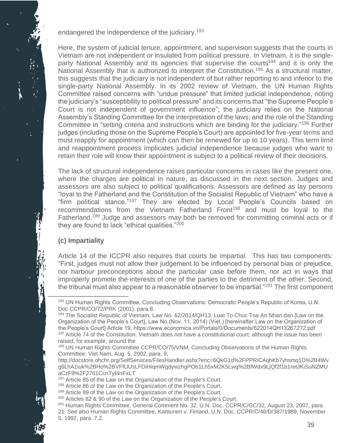endangered the independence of the judiciary.<sup>193</sup>

Here, the system of judicial tenure, appointment, and supervision suggests that the courts in Vietnam are not independent or insulated from political pressure. In Vietnam, it is the singleparty National Assembly and its agencies that supervise the courts<sup>194</sup> and it is only the National Assembly that is authorized to interpret the Constitution.<sup>195</sup> As a structural matter, this suggests that the judiciary is not independent of but rather reporting to and inferior to the single-party National Assembly. In its 2002 review of Vietnam, the UN Human Rights Committee raised concerns with "undue pressure" that limited judicial independence, noting the judiciary's "susceptibility to political pressure" and its concerns that "the Supreme People's Court is not independent of government influence"; the judiciary relies on the National Assembly's Standing Committee for the interpretation of the laws; and the role of the Standing Committee in "setting criteria and instructions which are binding for the judiciary." <sup>196</sup> Further judges (including those on the Supreme People's Court) are appointed for five-year terms and must reapply for appointment (which can then be renewed for up to 10 years). This term limit and reappointment process implicates judicial independence because judges who want to retain their role will know their appointment is subject to a political review of their decisions.

The lack of structural independence raises particular concerns in cases like the present one, where the charges are political in nature, as discussed in the next section. Judges and assessors are also subject to political qualifications. Assessors are defined as lay persons "loyal to the Fatherland and the Constitution of the Socialist Republic of Vietnam" who have a "firm political stance."<sup>197</sup> They are elected by Local People's Councils based on recommendations from the Vietnam Fatherland Front<sup>198</sup> and must be loyal to the Fatherland.<sup>199</sup> Judge and assessors may both be removed for committing criminal acts or if they are found to lack "ethical qualities." $200$ 

#### **(c) Impartiality**

Article 14 of the ICCPR also requires that courts be impartial. This has two components: "First, judges must not allow their judgement to be influenced by personal bias or prejudice, nor harbour preconceptions about the particular case before them, nor act in ways that improperly promote the interests of one of the parties to the detriment of the other. Second, the tribunal must also appear to a reasonable observer to be impartial."<sup>201</sup> The first component

- 198 Article 86 of the Law on the Organization of the People's Court.
- <sup>199</sup> Article 89 of the Law on the Organization of the People's Court.

<sup>193</sup> UN Human Rights Committee, Concluding Observations: Democratic People's Republic of Korea, U.N. Doc CCPR/CO/72/PRK (2001), para 8.

<sup>194</sup> The Socialist Republic of Vietnam, Law No. 62/2014/QH13, Luat To Chuc Toa An Nhan dan [Law on the Organization of the People's Court], Law No.(Nov. 11, 2014) (Viet.) [hereinafter Law on the Organization of the People's Court] Article 19, https://www.economica.vn/Portals/0/Documents/622014QH13267272.pdf <sup>195</sup> Article 74 of the Constitution. Vietnam does not have a constitutional court; although the issue has been raised, for example, around the

<sup>196</sup> UN Human Rights Committee CCPR/CO/75/VNM, Concluding Observations of the Human Rights Committee: Viet Nam, Aug. 5, 2002, para. 9,

http://docstore.ohchr.org/SelfServices/FilesHandler.ashx?enc=6QkG1d%2FPPRiCAqhKb7yhsmq1D%2B4Wv g6LhA1iuk%2BHo%2BVFfUUsLFDiHiqmWgdywzhgPOb1Lh5xM2K5Lwg%2BfWdx9LjQf2f1b1retJKiSuNZMU aCzF9%2F2761CcnTyf4nFxLT

<sup>&</sup>lt;sup>197</sup> Article 85 of the Law on the Organization of the People's Court.

<sup>&</sup>lt;sup>200</sup> Articles 82 & 90 of the Law on the Organization of the People's Court.

<sup>201</sup> Human Rights Committee, General Comment No. 32, U.N. Doc. CCPR/C/GC/32, August 23, 2007, para. 21. *See also* Human Rights Committee, Karttunen v. Finland, U.N. Doc. CCPR/C/46/D/387/1989, November 5, 1992, para. 7.2.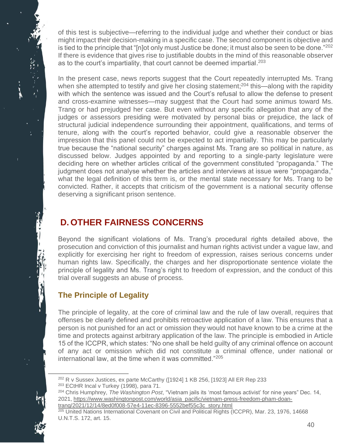of this test is subjective—referring to the individual judge and whether their conduct or bias might impact their decision-making in a specific case. The second component is objective and is tied to the principle that "[n]ot only must Justice be done; it must also be seen to be done." $^{202}$ If there is evidence that gives rise to justifiable doubts in the mind of this reasonable observer as to the court's impartiality, that court cannot be deemed impartial. 203

In the present case, news reports suggest that the Court repeatedly interrupted Ms. Trang when she attempted to testify and give her closing statement;<sup>204</sup> this—along with the rapidity with which the sentence was issued and the Court's refusal to allow the defense to present and cross-examine witnesses—may suggest that the Court had some animus toward Ms. Trang or had prejudged her case. But even without any specific allegation that any of the judges or assessors presiding were motivated by personal bias or prejudice, the lack of structural judicial independence surrounding their appointment, qualifications, and terms of tenure, along with the court's reported behavior, could give a reasonable observer the impression that this panel could not be expected to act impartially. This may be particularly true because the "national security" charges against Ms. Trang are so political in nature, as discussed below. Judges appointed by and reporting to a single-party legislature were deciding here on whether articles critical of the government constituted "propaganda." The judgment does not analyse whether the articles and interviews at issue were "propaganda," what the legal definition of this term is, or the mental state necessary for Ms. Trang to be convicted. Rather, it accepts that criticism of the government is a national security offense deserving a significant prison sentence.

# **D.OTHER FAIRNESS CONCERNS**

Beyond the significant violations of Ms. Trang's procedural rights detailed above, the prosecution and conviction of this journalist and human rights activist under a vague law, and explicitly for exercising her right to freedom of expression, raises serious concerns under human rights law. Specifically, the charges and her disproportionate sentence violate the principle of legality and Ms. Trang's right to freedom of expression, and the conduct of this trial overall suggests an abuse of process.

## **The Principle of Legality**

The principle of legality, at the core of criminal law and the rule of law overall, requires that offenses be clearly defined and prohibits retroactive application of a law. This ensures that a person is not punished for an act or omission they would not have known to be a crime at the time and protects against arbitrary application of the law. The principle is embodied in Article 15 of the ICCPR, which states: "No one shall be held guilty of any criminal offence on account of any act or omission which did not constitute a criminal offence, under national or international law, at the time when it was committed."<sup>205</sup>

 $202$  R v Sussex Justices, ex parte McCarthy ([1924] 1 KB 256, [1923] All ER Rep 233 <sup>203</sup> ECtHR Incal v Turkey (1998), para 71.

<sup>204</sup> Chris Humphrey, *The Washington Post*, "Vietnam jails its 'most famous activist' for nine years" Dec. 14, 2021, [https://www.washingtonpost.com/world/asia\\_pacific/vietnam-press-freedom-pham-doan-](https://www.washingtonpost.com/world/asia_pacific/vietnam-press-freedom-pham-doan-trang/2021/12/14/8ed0f008-57e4-11ec-8396-5552bef55c3c_story.html)

[trang/2021/12/14/8ed0f008-57e4-11ec-8396-5552bef55c3c\\_story.html](https://www.washingtonpost.com/world/asia_pacific/vietnam-press-freedom-pham-doan-trang/2021/12/14/8ed0f008-57e4-11ec-8396-5552bef55c3c_story.html)

<sup>&</sup>lt;sup>205</sup> United Nations International Covenant on Civil and Political Rights (ICCPR), Mar. 23, 1976, 14668 U.N.T.S. 172, art. 15.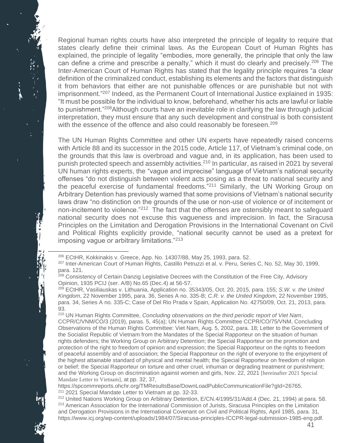Regional human rights courts have also interpreted the principle of legality to require that states clearly define their criminal laws. As the European Court of Human Rights has explained, the principle of legality "embodies, more generally, the principle that only the law can define a crime and prescribe a penalty," which it must do clearly and precisely.<sup>206</sup> The Inter-American Court of Human Rights has stated that the legality principle requires "a clear definition of the criminalized conduct, establishing its elements and the factors that distinguish it from behaviors that either are not punishable offences or are punishable but not with imprisonment."<sup>207</sup> Indeed, as the Permanent Court of International Justice explained in 1935: "It must be possible for the individual to know, beforehand, whether his acts are lawful or liable to punishment."<sup>208</sup>Although courts have an inevitable role in clarifying the law through judicial interpretation, they must ensure that any such development and construal is both consistent with the essence of the offence and also could reasonably be foreseen.<sup>209</sup>

The UN Human Rights Committee and other UN experts have repeatedly raised concerns with Article 88 and its successor in the 2015 code, Article 117, of Vietnam's criminal code, on the grounds that this law is overbroad and vague and, in its application, has been used to punish protected speech and assembly activities.<sup>210</sup> In particular, as raised in 2021 by several UN human rights experts, the "vague and imprecise" language of Vietnam's national security offenses "do not distinguish between violent acts posing as a threat to national security and the peaceful exercise of fundamental freedoms."<sup>211</sup> Similarly, the UN Working Group on Arbitrary Detention has previously warned that some provisions of Vietnam's national security laws draw "no distinction on the grounds of the use or non-use of violence or of incitement or non-incitement to violence."<sup>212</sup> The fact that the offenses are ostensibly meant to safeguard national security does not excuse this vagueness and imprecision. In fact, the Siracusa Principles on the Limitation and Derogation Provisions in the International Covenant on Civil and Political Rights explicitly provide, "national security cannot be used as a pretext for imposing vague or arbitrary limitations."<sup>213</sup>

<sup>210</sup> UN Human Rights Committee, *Concluding observations on the third periodic report of Viet Nam*, CCPR/C/VNM/CO/3 (2019), paras. 5, 45(a); UN Human Rights Committee CCPR/CO/75/VNM, Concluding Observations of the Human Rights Committee: Viet Nam, Aug. 5, 2002, para. 18; Letter to the Government of the Socialist Republic of Vietnam from the Mandates of the Special Rapporteur on the situation of human rights defenders; the Working Group on Arbitrary Detention; the Special Rapporteur on the promotion and protection of the right to freedom of opinion and expression; the Special Rapporteur on the rights to freedom of peaceful assembly and of association; the Special Rapporteur on the right of everyone to the enjoyment of the highest attainable standard of physical and mental health; the Special Rapporteur on freedom of religion or belief; the Special Rapporteur on torture and other cruel, inhuman or degrading treatment or punishment; and the Working Group on discrimination against women and girls, Nov. 22, 2021 [hereinafter 2021 Special Mandate Letter to Vietnam], at pp. 32, 37,

https://spcommreports.ohchr.org/TMResultsBase/DownLoadPublicCommunicationFile?gId=26765. <sup>211</sup> 2021 Special Mandate Letter to Vietnam at pp. 32-33.

<sup>212</sup> United Nations Working Group on Arbitrary Detention, E/CN.4/1995/31/Add.4 (Dec. 21, 1994) at para. 58. <sup>213</sup> American Association for the International Commission of Jurists, Siracusa Principles on the Limitation and Derogation Provisions in the International Covenant on Civil and Political Rights, April 1985, para. 31, https://www.icj.org/wp-content/uploads/1984/07/Siracusa-principles-ICCPR-legal-submission-1985-eng.pdf.

 $206$  ECtHR, Kokkinakis v. Greece, App. No. 14307/88, May 25, 1993, para. 52.

<sup>&</sup>lt;sup>207</sup> Inter-American Court of Human Rights, Castillo Petruzzi et al. v. Peru, Series C, No. 52, May 30, 1999, para. 121.

<sup>&</sup>lt;sup>208</sup> Consistency of Certain Danzig Legislative Decrees with the Constitution of the Free City, Advisory Opinion, 1935 PCIJ (ser. A/B) No.65 (Dec.4) at 56-57.

<sup>209</sup> ECtHR, Vasiliauskas v. Lithuania, Application no. 35343/05, Oct. 20, 2015, para. 155; *S.W. v. the United Kingdom*, 22 November 1995, para. 36, Series A no. 335-B; *C.R. v. the United Kingdom*, 22 November 1995, para. 34, Series A no. 335-C; Case of Del Rio Prada v Spain, Application No. 42750/09, Oct. 21, 2013, para. 93.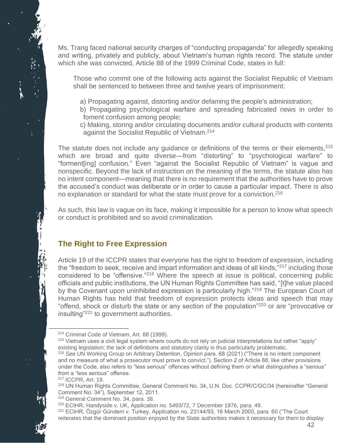Ms. Trang faced national security charges of "conducting propaganda" for allegedly speaking and writing, privately and publicly, about Vietnam's human rights record. The statute under which she was convicted, Article 88 of the 1999 Criminal Code, states in full:

Those who commit one of the following acts against the Socialist Republic of Vietnam shall be sentenced to between three and twelve years of imprisonment:

- a) Propagating against, distorting and/or defaming the people's administration;
- b) Propagating psychological warfare and spreading fabricated news in order to foment confusion among people;
- c) Making, storing and/or circulating documents and/or cultural products with contents against the Socialist Republic of Vietnam.<sup>214</sup>

The statute does not include any guidance or definitions of the terms or their elements,  $215$ which are broad and quite diverse—from "distorting" to "psychological warfare" to "forment[ing] confusion." Even "against the Socialist Republic of Vietnam" is vague and nonspecific. Beyond the lack of instruction on the meaning of the terms, the statute also has no intent component—meaning that there is no requirement that the authorities have to prove the accused's conduct was deliberate or in order to cause a particular impact. There is also no explanation or standard for what the state must prove for a conviction. 216

As such, this law is vague on its face, making it impossible for a person to know what speech or conduct is prohibited and so avoid criminalization.

#### **The Right to Free Expression**

Article 19 of the ICCPR states that everyone has the right to freedom of expression, including the "freedom to seek, receive and impart information and ideas of all kinds,"<sup>217</sup> including those considered to be "offensive."<sup>218</sup> Where the speech at issue is political, concerning public officials and public institutions, the UN Human Rights Committee has said, "[t]he value placed by the Covenant upon uninhibited expression is particularly high."<sup>219</sup> The European Court of Human Rights has held that freedom of expression protects ideas and speech that may "offend, shock or disturb the state or any section of the population"<sup>220</sup> or are "provocative or insulting"<sup>221</sup> to government authorities.

<sup>&</sup>lt;sup>214</sup> Criminal Code of Vietnam, Art. 88 (1999).

<sup>&</sup>lt;sup>215</sup> Vietnam uses a civil legal system where courts do not rely on judicial interpretations but rather "apply" existing legislation; the lack of definitions and statutory clarity is thus particularly problematic. <sup>216</sup> *See* UN Working Group on Arbitrary Detention, Opinion para. 68 (2021) ("There is no intent component and no measure of what a prosecutor must prove to convict."). Section 2 of Article 88, like other provisions under the Code, also refers to "less serious" offences without defining them or what distinguishes a "serious" from a "less serious" offense.

<sup>217</sup> ICCPR, Art. 19.

<sup>218</sup> UN Human Rights Committee, General Comment No. 34, U.N. Doc. CCPR/C/GC/34 (hereinafter "General Comment No. 34"), September 12, 2011.

<sup>219</sup> General Comment No. 34, para. 38.

<sup>220</sup> ECtHR, Handyside v. UK, Application no. 5493/72, 7 December 1976, para. 49.

<sup>&</sup>lt;sup>221</sup> ECtHR, Özgür Gündem v. Turkey, Application no. 23144/93, 16 March 2000, para. 60 ("The Court reiterates that the dominant position enjoyed by the State authorities makes it necessary for them to display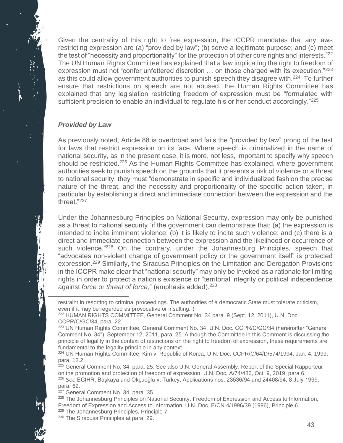Given the centrality of this right to free expression, the ICCPR mandates that any laws restricting expression are (a) "provided by law"; (b) serve a legitimate purpose; and (c) meet the test of "necessity and proportionality" for the protection of other core rights and interests.<sup>222</sup> The UN Human Rights Committee has explained that a law implicating the right to freedom of expression must not "confer unfettered discretion ... on those charged with its execution,"<sup>223</sup> as this could allow government authorities to punish speech they disagree with.<sup>224</sup> To further ensure that restrictions on speech are not abused, the Human Rights Committee has explained that any legislation restricting freedom of expression must be "formulated with sufficient precision to enable an individual to regulate his or her conduct accordingly."<sup>225</sup>

#### *Provided by Law*

As previously noted, Article 88 is overbroad and fails the "provided by law" prong of the test for laws that restrict expression on its face. Where speech is criminalized in the name of national security, as in the present case, it is more, not less, important to specify why speech should be restricted.<sup>226</sup> As the Human Rights Committee has explained, where government authorities seek to punish speech on the grounds that it presents a risk of violence or a threat to national security, they must "demonstrate in specific and individualized fashion the precise nature of the threat, and the necessity and proportionality of the specific action taken, in particular by establishing a direct and immediate connection between the expression and the threat."<sup>227</sup>

Under the Johannesburg Principles on National Security, expression may only be punished as a threat to national security "if the government can demonstrate that: (a) the expression is intended to incite imminent violence; (b) it is likely to incite such violence; and (c) there is a direct and immediate connection between the expression and the likelihood or occurrence of such violence."<sup>228</sup> On the contrary, under the Johannesburg Principles, speech that "advocates non-violent change of government policy or the government itself" is protected expression.<sup>229</sup> Similarly, the Siracusa Principles on the Limitation and Derogation Provisions in the ICCPR make clear that "national security" may only be invoked as a rationale for limiting rights in order to protect a nation's existence or "territorial integrity or political independence against *force* or *threat of force*," (emphasis added).<sup>230</sup>

<sup>225</sup> General Comment No. 34, para. 25. See also U.N. General Assembly, Report of the Special Rapporteur on the promotion and protection of freedom of expression, U.N. Doc, A/74/486, Oct. 9, 2019, para 6. <sup>226</sup> *See* ECtHR, Başkaya and Okçuoğlu v. Turkey, Applications nos. 23536/94 and 24408/94, 8 July 1999, para. 62.

<sup>227</sup> General Comment No. 34, para. 35.

<sup>228</sup> The Johannesburg Principles on National Security, Freedom of Expression and Access to Information, Freedom of Expression and Access to Information, U.N. Doc. E/CN.4/1996/39 (1996), Principle 6. <sup>229</sup> The Johannesburg Principles, Principle 7.

<sup>230</sup> The Siracusa Principles at para. 29.

restraint in resorting to criminal proceedings. The authorities of a democratic State must tolerate criticism, even if it may be regarded as provocative or insulting.")

<sup>222</sup> HUMAN RIGHTS COMMITTEE, General Comment No. 34 para. 9 (Sept. 12, 2011), U.N. Doc. CCPR/C/GC/34, para. 22.

<sup>&</sup>lt;sup>223</sup> UN Human Rights Committee, General Comment No. 34, U.N. Doc. CCPR/C/GC/34 (hereinafter "General Comment No. 34"), September 12, 2011, para. 25. Although the Committee in this Comment is discussing the principle of legality in the context of restrictions on the right to freedom of expression, these requirements are fundamental to the legality principle in any context.

<sup>224</sup> UN Human Rights Committee, Kim v. Republic of Korea, U.N. Doc. CCPR/C/64/D/574/1994, Jan. 4, 1999, para. 12.2.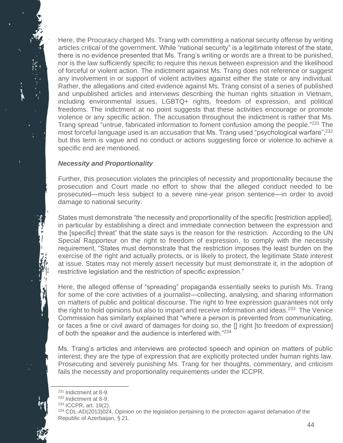Here, the Procuracy charged Ms. Trang with committing a national security offense by writing articles critical of the government. While "national security" is a legitimate interest of the state, there is no evidence presented that Ms. Trang's writing or words are a threat to be punished, nor is the law sufficiently specific to require this nexus between expression and the likelihood of forceful or violent action. The indictment against Ms. Trang does not reference or suggest any involvement in or support of violent activities against either the state or any individual. Rather, the allegations and cited evidence against Ms. Trang consist of a series of published and unpublished articles and interviews describing the human rights situation in Vietnam, including environmental issues, LGBTQ+ rights, freedom of expression, and political freedoms. The indictment at no point suggests that these activities encourage or promote violence or any specific action. The accusation throughout the indictment is rather that Ms. Trang spread "untrue, fabricated information to foment confusion among the people."<sup>231</sup> The most forceful language used is an accusation that Ms. Trang used "psychological warfare";<sup>232</sup> but this term is vague and no conduct or actions suggesting force or violence to achieve a specific end are mentioned.

#### *Necessity and Proportionality*

Further, this prosecution violates the principles of necessity and proportionality because the prosecution and Court made no effort to show that the alleged conduct needed to be prosecuted—much less subject to a severe nine-year prison sentence—in order to avoid damage to national security.

States must demonstrate "the necessity and proportionality of the specific [restriction applied], in particular by establishing a direct and immediate connection between the expression and the [specific] threat" that the state says is the reason for the restriction. According to the UN Special Rapporteur on the right to freedom of expression, to comply with the necessity requirement, "States must demonstrate that the restriction imposes the least burden on the exercise of the right and actually protects, or is likely to protect, the legitimate State interest at issue. States may not merely assert necessity but must demonstrate it, in the adoption of restrictive legislation and the restriction of specific expression."

Here, the alleged offense of "spreading" propaganda essentially seeks to punish Ms. Trang for some of the core activities of a journalist—collecting, analysing, and sharing information on matters of public and political discourse. The right to free expression guarantees not only the right to hold opinions but also to impart and receive information and ideas.<sup>233</sup> The Venice Commission has similarly explained that "where a person is prevented from communicating, or faces a fine or civil award of damages for doing so, the [] right [to freedom of expression] of both the speaker and the audience is interfered with."<sup>234</sup>

Ms. Trang's articles and interviews are protected speech and opinion on matters of public interest; they are the type of expression that are explicitly protected under human rights law. Prosecuting and severely punishing Ms. Trang for her thoughts, commentary, and criticism fails the necessity and proportionality requirements under the ICCPR.

<sup>231</sup> Indictment at 8-9.

<sup>232</sup> Indictment at 8-9.

<sup>233</sup> ICCPR, art. 19(2).

<sup>&</sup>lt;sup>234</sup> CDL-AD(2013)024, Opinion on the legislation pertaining to the protection against defamation of the Republic of Azerbaijan, § 21.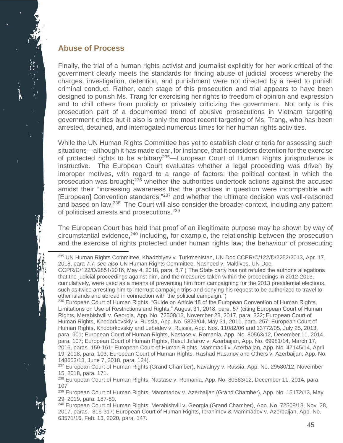#### **Abuse of Process**

Finally, the trial of a human rights activist and journalist explicitly for her work critical of the government clearly meets the standards for finding abuse of judicial process whereby the charges, investigation, detention, and punishment were not directed by a need to punish criminal conduct. Rather, each stage of this prosecution and trial appears to have been designed to punish Ms. Trang for exercising her rights to freedom of opinion and expression and to chill others from publicly or privately criticizing the government. Not only is this prosecution part of a documented trend of abusive prosecutions in Vietnam targeting government critics but it also is only the most recent targeting of Ms. Trang, who has been arrested, detained, and interrogated numerous times for her human rights activities.

While the UN Human Rights Committee has yet to establish clear criteria for assessing such situations—although it has made clear, for instance, that it considers detention for the exercise of protected rights to be arbitrary<sup>235</sup>—European Court of Human Rights jurisprudence is instructive. The European Court evaluates whether a legal proceeding was driven by improper motives, with regard to a range of factors: the political context in which the prosecution was brought;<sup>236</sup> whether the authorities undertook actions against the accused amidst their "increasing awareness that the practices in question were incompatible with [European] Convention standards;"<sup>237</sup> and whether the ultimate decision was well-reasoned and based on law.<sup>238</sup> The Court will also consider the broader context, including any pattern of politicised arrests and prosecutions.<sup>239</sup>

The European Court has held that proof of an illegitimate purpose may be shown by way of circumstantial evidence, <sup>240</sup> including, for example, the relationship between the prosecution and the exercise of rights protected under human rights law; the behaviour of prosecuting

<sup>&</sup>lt;sup>235</sup> UN Human Rights Committee, Khadzhiyev v. Turkmenistan, UN Doc CCPR/C/122/D/2252/2013, Apr. 17, 2018, para 7.7; *see also* UN Human Rights Committee, Nasheed v. Maldives, UN Doc.

CCPR/C/122/D/2851/2016, May 4, 2018, para. 8.7 ("The State party has not refuted the author's allegations that the judicial proceedings against him, and the measures taken within the proceedings in 2012-2013, cumulatively, were used as a means of preventing him from campaigning for the 2013 presidential elections, such as twice arresting him to interrupt campaign trips and denying his request to be authorized to travel to other islands and abroad in connection with the political campaign.")

<sup>&</sup>lt;sup>236</sup> European Court of Human Rights, "Guide on Article 18 of the European Convention of Human Rights, Limitations on Use of Restrictions and Rights," August 31, 2018, para. 57 (citing European Court of Human Rights, Merabishvili v. Georgia, App. No. 72508/13, November 28, 2017, para. 322; European Court of Human Rights, Khodorkovskiy v. Russia, App. No. 5829/04, May 31, 2011, para. 257; European Court of Human Rights, Khodorkovskiy and Lebedev v. Russia, App. Nos. 11082/06 and 13772/05, July 25, 2013, para. 901; European Court of Human Rights, Nastase v. Romania, App. No. 80563/12, December 11, 2014, para. 107; European Court of Human Rights, Rasul Jafarov v. Azerbaijan, App. No. 69981/14, March 17, 2016, paras. 159-161; European Court of Human Rights, Mammadli v. Azerbaijan, App. No. 47145/14, April 19, 2018, para. 103; European Court of Human Rights, Rashad Hasanov and Others v. Azerbaijan, App. No. 148653/13, June 7, 2018, para. 124).

<sup>&</sup>lt;sup>237</sup> European Court of Human Rights (Grand Chamber), Navalnyy v. Russia, App. No. 29580/12, November 15, 2018, para. 171.

<sup>&</sup>lt;sup>238</sup> European Court of Human Rights, Nastase v. Romania, App. No. 80563/12, December 11, 2014, para. 107

<sup>&</sup>lt;sup>239</sup> European Court of Human Rights, Mammadov v. Azerbaijan (Grand Chamber), App. No. 15172/13, May 29, 2019, para. 187-89.

<sup>&</sup>lt;sup>240</sup> European Court of Human Rights, Merabishvili v. Georgia (Grand Chamber), App. No. 72508/13, Nov. 28, 2017, paras. 316-317; European Court of Human Rights, Ibrahimov & Mammadov v. Azerbaijan, App. No. 63571/16, Feb. 13, 2020, para. 147.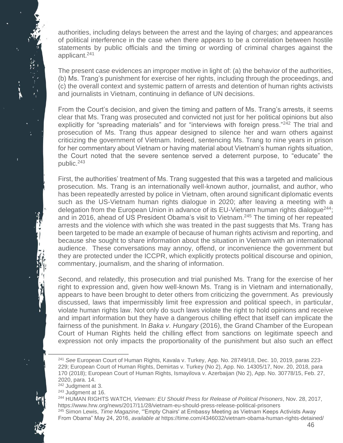authorities, including delays between the arrest and the laying of charges; and appearances of political interference in the case when there appears to be a correlation between hostile statements by public officials and the timing or wording of criminal charges against the applicant.<sup>241</sup>

The present case evidences an improper motive in light of: (a) the behavior of the authorities, (b) Ms. Trang's punishment for exercise of her rights, including through the proceedings, and (c) the overall context and systemic pattern of arrests and detention of human rights activists and journalists in Vietnam, continuing in defiance of UN decisions.

From the Court's decision, and given the timing and pattern of Ms. Trang's arrests, it seems clear that Ms. Trang was prosecuted and convicted not just for her political opinions but also explicitly for "spreading materials" and for "interviews with foreign press."<sup>242</sup> The trial and prosecution of Ms. Trang thus appear designed to silence her and warn others against criticizing the government of Vietnam. Indeed, sentencing Ms. Trang to nine years in prison for her commentary about Vietnam or having material about Vietnam's human rights situation, the Court noted that the severe sentence served a deterrent purpose, to "educate" the public.<sup>243</sup>

First, the authorities' treatment of Ms. Trang suggested that this was a targeted and malicious prosecution. Ms. Trang is an internationally well-known author, journalist, and author, who has been repeatedly arrested by police in Vietnam, often around significant diplomatic events such as the US-Vietnam human rights dialogue in 2020; after leaving a meeting with a delegation from the European Union in advance of its EU-Vietnam human rights dialogue<sup>244</sup>; and in 2016, ahead of US President Obama's visit to Vietnam. <sup>245</sup> The timing of her repeated arrests and the violence with which she was treated in the past suggests that Ms. Trang has been targeted to be made an example of because of human rights activism and reporting, and because she sought to share information about the situation in Vietnam with an international audience. These conversations may annoy, offend, or inconvenience the government but they are protected under the ICCPR, which explicitly protects political discourse and opinion, commentary, journalism, and the sharing of information.

Second, and relatedly, this prosecution and trial punished Ms. Trang for the exercise of her right to expression and, given how well-known Ms. Trang is in Vietnam and internationally, appears to have been brought to deter others from criticizing the government. As previously discussed, laws that impermissibly limit free expression and political speech, in particular, violate human rights law. Not only do such laws violate the right to hold opinions and receive and impart information but they have a dangerous chilling effect that itself can implicate the fairness of the punishment. In *Baka v. Hungary* (2016), the Grand Chamber of the European Court of Human Rights held the chilling effect from sanctions on legitimate speech and expression not only impacts the proportionality of the punishment but also such an effect

46

<sup>241</sup> *See* European Court of Human Rights, Kavala v. Turkey, App. No. 28749/18, Dec. 10, 2019, paras 223- 229; European Court of Human Rights, Demirtas v. Turkey (No 2), App. No. 14305/17, Nov. 20, 2018, para 170 (2018); European Court of Human Rights, Ismayilova v. Azerbaijan (No 2), App. No. 30778/15, Feb. 27, 2020, para. 14.

<sup>242</sup> Judgment at 3.

<sup>&</sup>lt;sup>243</sup> Judgment at 16.

<sup>244</sup> HUMAN RIGHTS WATCH*, Vietnam: EU Should Press for Release of Political Prisoners*, Nov. 28, 2017, https://www.hrw.org/news/2017/11/28/vietnam-eu-should-press-release-political-prisoners <sup>245</sup> Simon Lewis, *Time Magazine*, "'Empty Chairs' at Embassy Meeting as Vietnam Keeps Activists Away From Obama" May 24, 2016, *available at* https://time.com/4346032/vietnam-obama-human-rights-detained/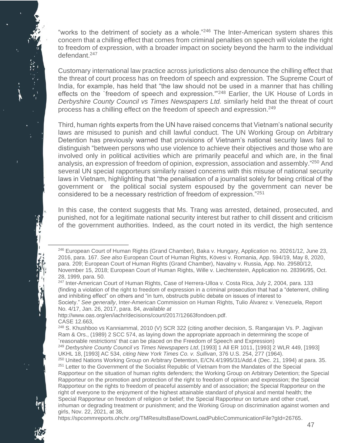"works to the detriment of society as a whole."<sup>246</sup> The Inter-American system shares this concern that a chilling effect that comes from criminal penalties on speech will violate the right to freedom of expression, with a broader impact on society beyond the harm to the individual defendant.<sup>247</sup>

Customary international law practice across jurisdictions also denounce the chilling effect that the threat of court process has on freedom of speech and expression. The Supreme Court of India, for example, has held that "the law should not be used in a manner that has chilling effects on the `freedom of speech and expression."<sup>248</sup> Earlier, the UK House of Lords in *Derbyshire County Council vs Times Newspapers Ltd.* similarly held that the threat of court process has a chilling effect on the freedom of speech and expression.<sup>249</sup>

Third, human rights experts from the UN have raised concerns that Vietnam's national security laws are misused to punish and chill lawful conduct. The UN Working Group on Arbitrary Detention has previously warned that provisions of Vietnam's national security laws fail to distinguish "between persons who use violence to achieve their objectives and those who are involved only in political activities which are primarily peaceful and which are, in the final analysis, an expression of freedom of opinion, expression, association and assembly."<sup>250</sup> And several UN special rapporteurs similarly raised concerns with this misuse of national security laws in Vietnam, highlighting that "the penalisation of a journalist solely for being critical of the government or the political social system espoused by the government can never be considered to be a necessary restriction of freedom of expression."<sup>251</sup>

In this case, the context suggests that Ms. Trang was arrested, detained, prosecuted, and punished, not for a legitimate national security interest but rather to chill dissent and criticism of the government authorities. Indeed, as the court noted in its verdict, the high sentence

<sup>246</sup> European Court of Human Rights (Grand Chamber), Baka v. Hungary, Application no. 20261/12, June 23, 2016, para. 167. *See also* European Court of Human Rights, Kövesi v. Romania, App. 594/19, May 8, 2020, para. 209; European Court of Human Rights (Grand Chamber), Navalny v. Russia, App. No. 29580/12, November 15, 2018; European Court of Human Rights, Wille v. Liechtenstein, Application no. 28396/95, Oct. 28, 1999, para. 50.

<sup>&</sup>lt;sup>247</sup> Inter-American Court of Human Rights, Case of Herrera-Ulloa v. Costa Rica, July 2, 2004, para. 133 (finding a violation of the right to freedom of expression in a criminal prosecution that had a "deterrent, chilling and inhibiting effect" on others and "in turn, obstructs public debate on issues of interest to Society." *See generally*, Inter-American Commission on Human Rights, Tulio Álvarez v. Venezuela, Report No. 4/17, Jan. 26, 2017, para. 84, *available at*

http://www.oas.org/en/iachr/decisions/court/2017/12663fondoen.pdf. CASE 12.663,

<sup>&</sup>lt;sup>248</sup> S. Khushboo vs Kanniammal, 2010 (V) SCR 322 (citing another decision, S. Rangarajan Vs. P. Jagjivan Ram & Ors., (1989) 2 SCC 574, as laying down the appropriate approach in determining the scope of `reasonable restrictions' that can be placed on the Freedom of Speech and Expression)

<sup>249</sup> *Derbyshire County Council vs Times Newspapers Ltd*, [1993] 1 All ER 1011, [1993] 2 WLR 449, [1993] UKHL 18, [1993] AC 534, *citing New York Times Co. v. Sullivan*, 376 U.S. 254, 277 (1964).

<sup>&</sup>lt;sup>250</sup> United Nations Working Group on Arbitrary Detention, E/CN.4/1995/31/Add.4 (Dec. 21, 1994) at para. 35. <sup>251</sup> Letter to the Government of the Socialist Republic of Vietnam from the Mandates of the Special Rapporteur on the situation of human rights defenders; the Working Group on Arbitrary Detention; the Special Rapporteur on the promotion and protection of the right to freedom of opinion and expression; the Special Rapporteur on the rights to freedom of peaceful assembly and of association; the Special Rapporteur on the right of everyone to the enjoyment of the highest attainable standard of physical and mental health; the Special Rapporteur on freedom of religion or belief; the Special Rapporteur on torture and other cruel, inhuman or degrading treatment or punishment; and the Working Group on discrimination against women and girls, Nov. 22, 2021, at 38,

https://spcommreports.ohchr.org/TMResultsBase/DownLoadPublicCommunicationFile?gId=26765.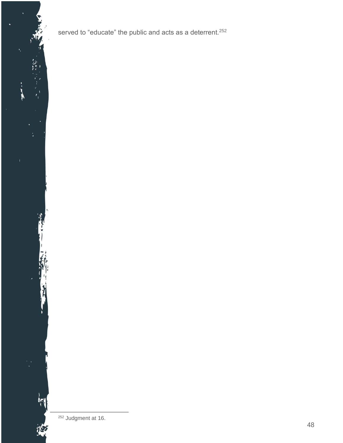

金井

<sup>252</sup> Judgment at 16.

 $\theta$ r

 $\eta \Sigma$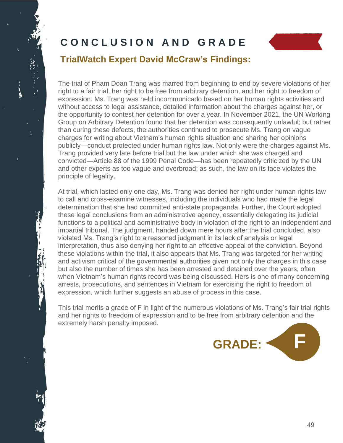# **C O N C L U S I O N A N D G R A D E**



## **TrialWatch Expert David McCraw's Findings:**

The trial of Pham Doan Trang was marred from beginning to end by severe violations of her right to a fair trial, her right to be free from arbitrary detention, and her right to freedom of expression. Ms. Trang was held incommunicado based on her human rights activities and without access to legal assistance, detailed information about the charges against her, or the opportunity to contest her detention for over a year. In November 2021, the UN Working Group on Arbitrary Detention found that her detention was consequently unlawful; but rather than curing these defects, the authorities continued to prosecute Ms. Trang on vague charges for writing about Vietnam's human rights situation and sharing her opinions publicly—conduct protected under human rights law. Not only were the charges against Ms. Trang provided very late before trial but the law under which she was charged and convicted—Article 88 of the 1999 Penal Code—has been repeatedly criticized by the UN and other experts as too vague and overbroad; as such, the law on its face violates the principle of legality.

At trial, which lasted only one day, Ms. Trang was denied her right under human rights law to call and cross-examine witnesses, including the individuals who had made the legal determination that she had committed anti-state propaganda. Further, the Court adopted these legal conclusions from an administrative agency, essentially delegating its judicial functions to a political and administrative body in violation of the right to an independent and impartial tribunal. The judgment, handed down mere hours after the trial concluded, also violated Ms. Trang's right to a reasoned judgment in its lack of analysis or legal interpretation, thus also denying her right to an effective appeal of the conviction. Beyond these violations within the trial, it also appears that Ms. Trang was targeted for her writing and activism critical of the governmental authorities given not only the charges in this case but also the number of times she has been arrested and detained over the years, often when Vietnam's human rights record was being discussed. Hers is one of many concerning arrests, prosecutions, and sentences in Vietnam for exercising the right to freedom of expression, which further suggests an abuse of process in this case.

This trial merits a grade of F in light of the numerous violations of Ms. Trang's fair trial rights and her rights to freedom of expression and to be free from arbitrary detention and the extremely harsh penalty imposed.